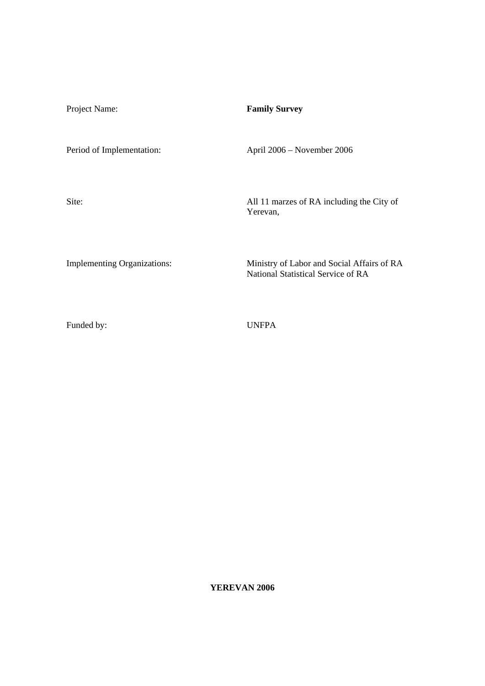| Project Name:                      | <b>Family Survey</b>                                                             |
|------------------------------------|----------------------------------------------------------------------------------|
| Period of Implementation:          | April 2006 – November 2006                                                       |
| Site:                              | All 11 marzes of RA including the City of<br>Yerevan,                            |
| <b>Implementing Organizations:</b> | Ministry of Labor and Social Affairs of RA<br>National Statistical Service of RA |

Funded by: UNFPA

**YEREVAN 2006**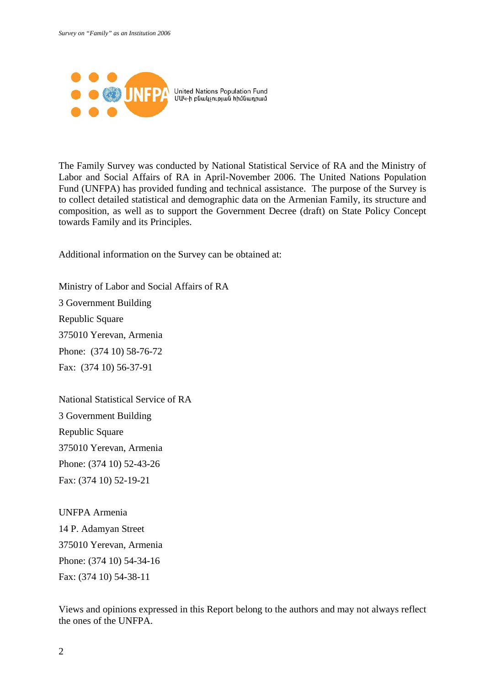

United Nations Population Fund ՄԱԿ-ի բնակչության հիմնադրամ

The Family Survey was conducted by National Statistical Service of RA and the Ministry of Labor and Social Affairs of RA in April-November 2006. The United Nations Population Fund (UNFPA) has provided funding and technical assistance. The purpose of the Survey is to collect detailed statistical and demographic data on the Armenian Family, its structure and composition, as well as to support the Government Decree (draft) on State Policy Concept towards Family and its Principles.

Additional information on the Survey can be obtained at:

Ministry of Labor and Social Affairs of RA 3 Government Building Republic Square 375010 Yerevan, Armenia Phone: (374 10) 58-76-72 Fax: (374 10) 56-37-91

National Statistical Service of RA 3 Government Building Republic Square 375010 Yerevan, Armenia Phone: (374 10) 52-43-26 Fax: (374 10) 52-19-21

UNFPA Armenia 14 P. Adamyan Street 375010 Yerevan, Armenia Phone: (374 10) 54-34-16 Fax: (374 10) 54-38-11

Views and opinions expressed in this Report belong to the authors and may not always reflect the ones of the UNFPA.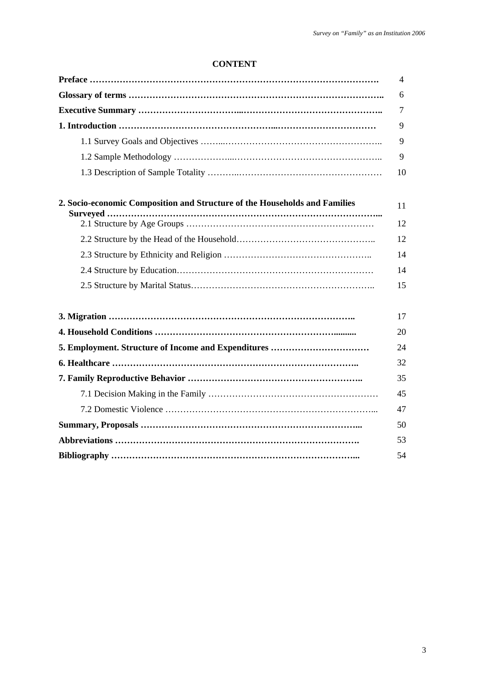# **CONTENT**

|                                                                            | 4      |
|----------------------------------------------------------------------------|--------|
|                                                                            | 6      |
|                                                                            | $\tau$ |
|                                                                            | 9      |
|                                                                            | 9      |
|                                                                            | 9      |
|                                                                            | 10     |
| 2. Socio-economic Composition and Structure of the Households and Families | 11     |
|                                                                            | 12     |
|                                                                            | 12     |
|                                                                            | 14     |
|                                                                            | 14     |
|                                                                            | 15     |
|                                                                            | 17     |
|                                                                            | 20     |
| 5. Employment. Structure of Income and Expenditures                        | 24     |
|                                                                            | 32     |
|                                                                            | 35     |
|                                                                            | 45     |
|                                                                            | 47     |
|                                                                            | 50     |
|                                                                            | 53     |
|                                                                            | 54     |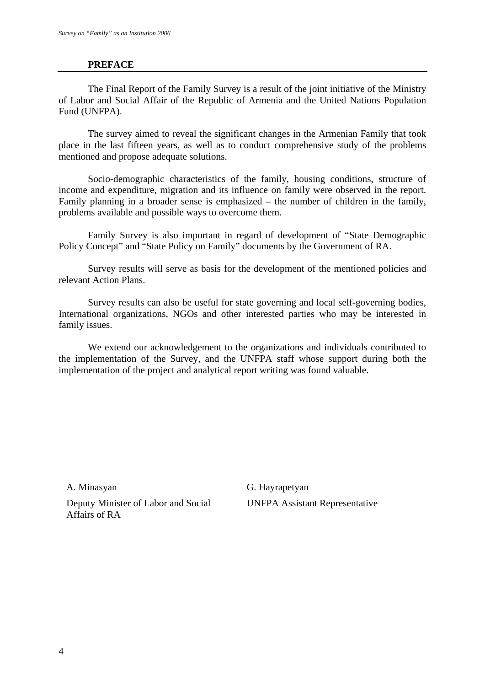# **PREFACE**

The Final Report of the Family Survey is a result of the joint initiative of the Ministry of Labor and Social Affair of the Republic of Armenia and the United Nations Population Fund (UNFPA).

The survey aimed to reveal the significant changes in the Armenian Family that took place in the last fifteen years, as well as to conduct comprehensive study of the problems mentioned and propose adequate solutions.

Socio-demographic characteristics of the family, housing conditions, structure of income and expenditure, migration and its influence on family were observed in the report. Family planning in a broader sense is emphasized – the number of children in the family, problems available and possible ways to overcome them.

Family Survey is also important in regard of development of "State Demographic Policy Concept" and "State Policy on Family" documents by the Government of RA.

Survey results will serve as basis for the development of the mentioned policies and relevant Action Plans.

Survey results can also be useful for state governing and local self-governing bodies, International organizations, NGOs and other interested parties who may be interested in family issues.

We extend our acknowledgement to the organizations and individuals contributed to the implementation of the Survey, and the UNFPA staff whose support during both the implementation of the project and analytical report writing was found valuable.

A. Minasyan

Deputy Minister of Labor and Social Affairs of RA

G. Hayrapetyan UNFPA Assistant Representative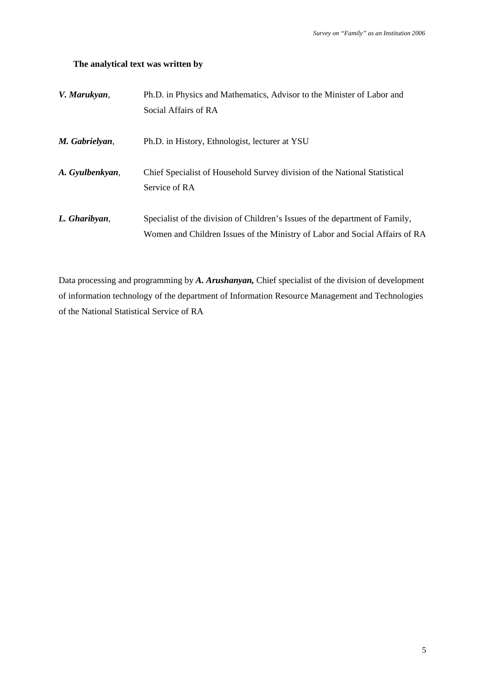# **The analytical text was written by**

| V. Marukyan,    | Ph.D. in Physics and Mathematics, Advisor to the Minister of Labor and       |
|-----------------|------------------------------------------------------------------------------|
|                 | Social Affairs of RA                                                         |
| M. Gabrielyan,  | Ph.D. in History, Ethnologist, lecturer at YSU                               |
| A. Gyulbenkyan, | Chief Specialist of Household Survey division of the National Statistical    |
|                 | Service of RA                                                                |
| L. Gharibyan,   | Specialist of the division of Children's Issues of the department of Family, |
|                 | Women and Children Issues of the Ministry of Labor and Social Affairs of RA  |

Data processing and programming by *A. Arushanyan,* Chief specialist of the division of development of information technology of the department of Information Resource Management and Technologies of the National Statistical Service of RA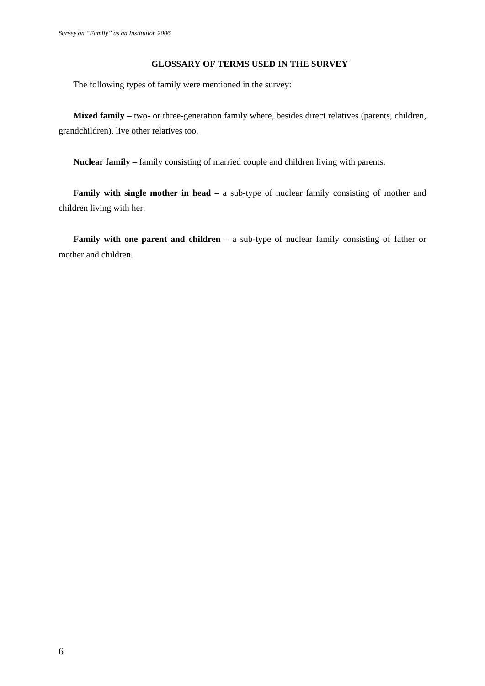#### **GLOSSARY OF TERMS USED IN THE SURVEY**

The following types of family were mentioned in the survey:

**Mixed family** – two- or three-generation family where, besides direct relatives (parents, children, grandchildren), live other relatives too.

**Nuclear family** – family consisting of married couple and children living with parents.

**Family with single mother in head** – a sub-type of nuclear family consisting of mother and children living with her.

**Family with one parent and children** – a sub-type of nuclear family consisting of father or mother and children.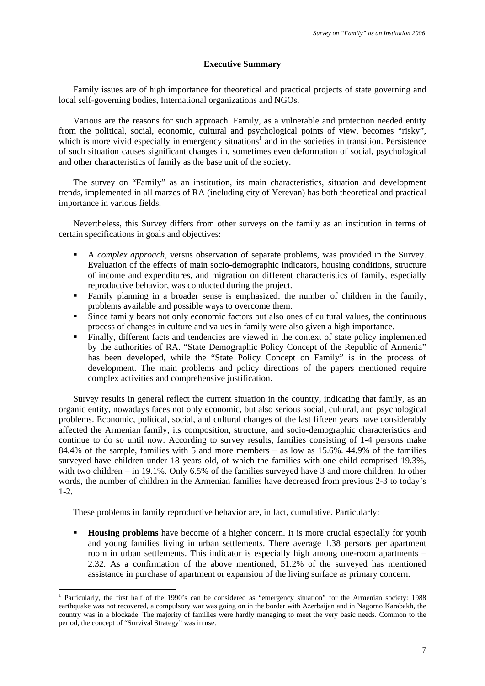#### **Executive Summary**

Family issues are of high importance for theoretical and practical projects of state governing and local self-governing bodies, International organizations and NGOs.

Various are the reasons for such approach. Family, as a vulnerable and protection needed entity from the political, social, economic, cultural and psychological points of view, becomes "risky", which is more vivid especially in emergency situations<sup>1</sup> and in the societies in transition. Persistence of such situation causes significant changes in, sometimes even deformation of social, psychological and other characteristics of family as the base unit of the society.

The survey on "Family" as an institution, its main characteristics, situation and development trends, implemented in all marzes of RA (including city of Yerevan) has both theoretical and practical importance in various fields.

Nevertheless, this Survey differs from other surveys on the family as an institution in terms of certain specifications in goals and objectives:

- A *complex approach*, versus observation of separate problems, was provided in the Survey. Evaluation of the effects of main socio-demographic indicators, housing conditions, structure of income and expenditures, and migration on different characteristics of family, especially reproductive behavior, was conducted during the project.
- Family planning in a broader sense is emphasized: the number of children in the family, problems available and possible ways to overcome them.
- Since family bears not only economic factors but also ones of cultural values, the continuous process of changes in culture and values in family were also given a high importance.
- Finally, different facts and tendencies are viewed in the context of state policy implemented by the authorities of RA. "State Demographic Policy Concept of the Republic of Armenia" has been developed, while the "State Policy Concept on Family" is in the process of development. The main problems and policy directions of the papers mentioned require complex activities and comprehensive justification.

Survey results in general reflect the current situation in the country, indicating that family, as an organic entity, nowadays faces not only economic, but also serious social, cultural, and psychological problems. Economic, political, social, and cultural changes of the last fifteen years have considerably affected the Armenian family, its composition, structure, and socio-demographic characteristics and continue to do so until now. According to survey results, families consisting of 1-4 persons make 84.4% of the sample, families with 5 and more members – as low as 15.6%. 44.9% of the families surveyed have children under 18 years old, of which the families with one child comprised 19.3%, with two children – in 19.1%. Only 6.5% of the families surveyed have 3 and more children. In other words, the number of children in the Armenian families have decreased from previous 2-3 to today's 1-2.

These problems in family reproductive behavior are, in fact, cumulative. Particularly:

1

**Housing problems** have become of a higher concern. It is more crucial especially for youth and young families living in urban settlements. There average 1.38 persons per apartment room in urban settlements. This indicator is especially high among one-room apartments – 2.32. As a confirmation of the above mentioned, 51.2% of the surveyed has mentioned assistance in purchase of apartment or expansion of the living surface as primary concern.

<sup>1</sup> Particularly, the first half of the 1990's can be considered as "emergency situation" for the Armenian society: 1988 earthquake was not recovered, a compulsory war was going on in the border with Azerbaijan and in Nagorno Karabakh, the country was in a blockade. The majority of families were hardly managing to meet the very basic needs. Common to the period, the concept of "Survival Strategy" was in use.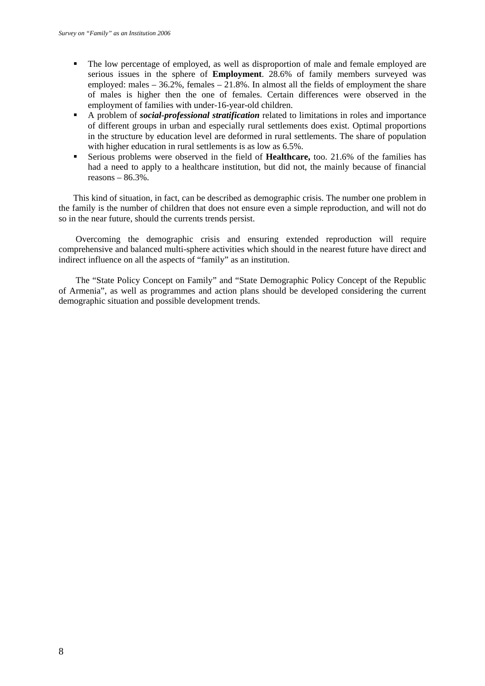- The low percentage of employed, as well as disproportion of male and female employed are serious issues in the sphere of **Employment**. 28.6% of family members surveyed was employed: males – 36.2%, females – 21.8%. In almost all the fields of employment the share of males is higher then the one of females. Certain differences were observed in the employment of families with under-16-year-old children.
- A problem of *social-professional stratification* related to limitations in roles and importance of different groups in urban and especially rural settlements does exist. Optimal proportions in the structure by education level are deformed in rural settlements. The share of population with higher education in rural settlements is as low as 6.5%.
- Serious problems were observed in the field of **Healthcare,** too. 21.6% of the families has had a need to apply to a healthcare institution, but did not, the mainly because of financial reasons  $-86.3\%$ .

This kind of situation, in fact, can be described as demographic crisis. The number one problem in the family is the number of children that does not ensure even a simple reproduction, and will not do so in the near future, should the currents trends persist.

Overcoming the demographic crisis and ensuring extended reproduction will require comprehensive and balanced multi-sphere activities which should in the nearest future have direct and indirect influence on all the aspects of "family" as an institution.

The "State Policy Concept on Family" and "State Demographic Policy Concept of the Republic of Armenia", as well as programmes and action plans should be developed considering the current demographic situation and possible development trends.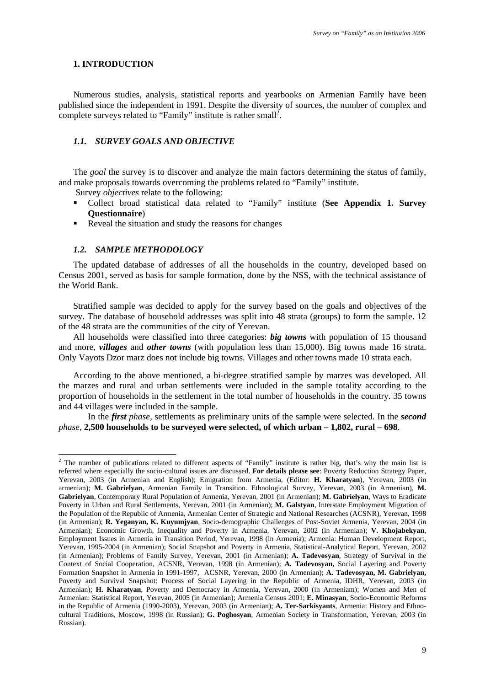#### **1. INTRODUCTION**

Numerous studies, analysis, statistical reports and yearbooks on Armenian Family have been published since the independent in 1991. Despite the diversity of sources, the number of complex and complete surveys related to "Family" institute is rather small<sup>2</sup>.

# *1.1. SURVEY GOALS AND OBJECTIVE*

The *goal* the survey is to discover and analyze the main factors determining the status of family, and make proposals towards overcoming the problems related to "Family" institute.

Survey *objectives* relate to the following:

- Collect broad statistical data related to "Family" institute (**See Appendix 1. Survey Questionnaire**)
- Reveal the situation and study the reasons for changes

#### *1.2. SAMPLE METHODOLOGY*

1

The updated database of addresses of all the households in the country, developed based on Census 2001, served as basis for sample formation, done by the NSS, with the technical assistance of the World Bank.

Stratified sample was decided to apply for the survey based on the goals and objectives of the survey. The database of household addresses was split into 48 strata (groups) to form the sample. 12 of the 48 strata are the communities of the city of Yerevan.

All households were classified into three categories: *big towns* with population of 15 thousand and more, *villages* and *other towns* (with population less than 15,000). Big towns made 16 strata. Only Vayots Dzor marz does not include big towns. Villages and other towns made 10 strata each.

According to the above mentioned, a bi-degree stratified sample by marzes was developed. All the marzes and rural and urban settlements were included in the sample totality according to the proportion of households in the settlement in the total number of households in the country. 35 towns and 44 villages were included in the sample.

In the *first phase,* settlements as preliminary units of the sample were selected. In the *second phase*, **2,500 households to be surveyed were selected, of which urban – 1,802, rural – 698**.

<sup>&</sup>lt;sup>2</sup> The number of publications related to different aspects of "Family" institute is rather big, that's why the main list is referred where especially the socio-cultural issues are discussed. **For details please see**: Poverty Reduction Strategy Paper, Yerevan, 2003 (in Armenian and English); Emigration from Armenia, (Editor: **H. Kharatyan**), Yerevan, 2003 (in armenian); **M. Gabrielyan**, Armenian Family in Transition. Ethnological Survey, Yerevan, 2003 (in Armenian), **M. Gabrielyan**, Contemporary Rural Population of Armenia, Yerevan, 2001 (in Armenian); **M. Gabrielyan**, Ways to Eradicate Poverty in Urban and Rural Settlements, Yerevan, 2001 (in Armenian); **M. Galstyan**, Interstate Employment Migration of the Population of the Republic of Armenia, Armenian Center of Strategic and National Researches (ACSNR), Yerevan, 1998 (in Armenian); **R. Yeganyan, K. Kuyumjyan**, Socio-demographic Challenges of Post-Soviet Armenia, Yerevan, 2004 (in Armenian); Economic Growth, Inequality and Poverty in Armenia, Yerevan, 2002 (in Armenian); **V. Khojabekyan**, Employment Issues in Armenia in Transition Period, Yerevan, 1998 (in Armenia); Armenia: Human Development Report, Yerevan, 1995-2004 (in Armenian); Social Snapshot and Poverty in Armenia, Statistical-Analytical Report, Yerevan, 2002 (in Armenian); Problems of Family Survey, Yerevan, 2001 (in Armenian); **A. Tadevosyan**, Strategy of Survival in the Context of Social Cooperation, ACSNR, Yerevan, 1998 (in Armenian); **A. Tadevosyan,** Social Layering and Poverty Formation Snapshot in Armenia in 1991-1997, ACSNR, Yerevan, 2000 (in Armenian); **A. Tadevosyan, M. Gabrielyan,**  Poverty and Survival Snapshot: Process of Social Layering in the Republic of Armenia, IDHR, Yerevan, 2003 (in Armenian); **H. Kharatyan**, Poverty and Democracy in Armenia, Yerevan, 2000 (in Armeniam); Women and Men of Armenian: Statistical Report, Yerevan, 2005 (in Armenian); Armenia Census 2001; **E. Minasyan**, Socio-Economic Reforms in the Republic of Armenia (1990-2003), Yerevan, 2003 (in Armenian); **A. Ter-Sarkisyants**, Armenia: History and Ethnocultural Traditions, Moscow, 1998 (in Russian); **G. Poghosyan**, Armenian Society in Transformation, Yerevan, 2003 (in Russian).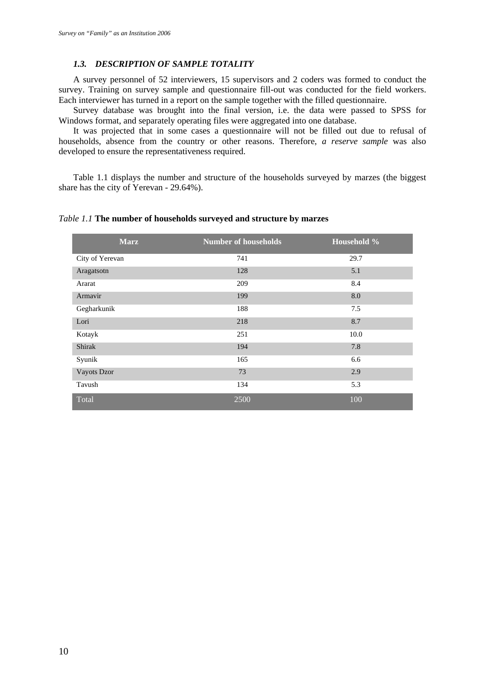### *1.3. DESCRIPTION OF SAMPLE TOTALITY*

A survey personnel of 52 interviewers, 15 supervisors and 2 coders was formed to conduct the survey. Training on survey sample and questionnaire fill-out was conducted for the field workers. Each interviewer has turned in a report on the sample together with the filled questionnaire.

Survey database was brought into the final version, i.e. the data were passed to SPSS for Windows format, and separately operating files were aggregated into one database.

It was projected that in some cases a questionnaire will not be filled out due to refusal of households, absence from the country or other reasons. Therefore, *a reserve sample* was also developed to ensure the representativeness required.

Table 1.1 displays the number and structure of the households surveyed by marzes (the biggest share has the city of Yerevan - 29.64%).

*Table 1.1* **The number of households surveyed and structure by marzes** 

| <b>Marz</b>     | <b>Number of households</b> | Household % |
|-----------------|-----------------------------|-------------|
| City of Yerevan | 741                         | 29.7        |
| Aragatsotn      | 128                         | 5.1         |
| Ararat          | 209                         | 8.4         |
| Armavir         | 199                         | 8.0         |
| Gegharkunik     | 188                         | 7.5         |
| Lori            | 218                         | 8.7         |
| Kotayk          | 251                         | 10.0        |
| Shirak          | 194                         | 7.8         |
| Syunik          | 165                         | 6.6         |
| Vayots Dzor     | 73                          | 2.9         |
| Tavush          | 134                         | 5.3         |
| Total           | 2500                        | 100         |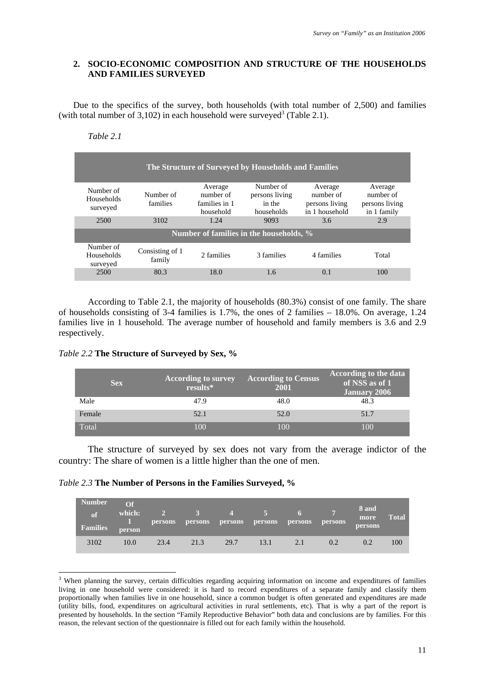# **2. SOCIO-ECONOMIC COMPOSITION AND STRUCTURE OF THE HOUSEHOLDS AND FAMILIES SURVEYED**

Due to the specifics of the survey, both households (with total number of 2,500) and families (with total number of  $3,102$ ) in each household were surveyed<sup>3</sup> (Table 2.1).

*Table 2.1* 

<u>.</u>

|                                     |                           |                                                    | The Structure of Surveyed by Households and Families |                                                          |                                                       |
|-------------------------------------|---------------------------|----------------------------------------------------|------------------------------------------------------|----------------------------------------------------------|-------------------------------------------------------|
| Number of<br>Households<br>surveyed | Number of<br>families     | Average<br>number of<br>families in 1<br>household | Number of<br>persons living<br>in the<br>households  | Average<br>number of<br>persons living<br>in 1 household | Average<br>number of<br>persons living<br>in 1 family |
| 2500                                | 3102                      | 1.24                                               | 9093                                                 | 3.6                                                      | 2.9                                                   |
|                                     |                           |                                                    | Number of families in the households, %              |                                                          |                                                       |
| Number of<br>Households<br>surveyed | Consisting of 1<br>family | 2 families                                         | 3 families                                           | 4 families                                               | Total                                                 |
| 2500                                | 80.3                      | 18.0                                               | 1.6                                                  | 0.1                                                      | 100                                                   |

According to Table 2.1, the majority of households (80.3%) consist of one family. The share of households consisting of 3-4 families is 1.7%, the ones of 2 families – 18.0%. On average, 1.24 families live in 1 household. The average number of household and family members is 3.6 and 2.9 respectively.

*Table 2.2* **The Structure of Surveyed by Sex, %** 

|        | <b>Sex</b> | <b>According to survey</b><br>results* | <b>According to Census</b><br>2001 | <b>According to the data</b><br>of NSS as of 1<br><b>January 2006</b> |
|--------|------------|----------------------------------------|------------------------------------|-----------------------------------------------------------------------|
| Male   |            | 47.9                                   | 48.0                               | 48.3                                                                  |
| Female |            | 52.1                                   | 52.0                               | 51.7                                                                  |
| Total  |            | 100                                    | 100                                | 100                                                                   |

The structure of surveyed by sex does not vary from the average indictor of the country: The share of women is a little higher than the one of men.

| <i>Table 2.3</i> The Number of Persons in the Families Surveyed, % |  |  |  |  |  |  |  |
|--------------------------------------------------------------------|--|--|--|--|--|--|--|
|--------------------------------------------------------------------|--|--|--|--|--|--|--|

| <b>Number</b><br>of<br><b>Families</b> | $\Omega$ f<br>which:<br>person | $\mathbf{2}$<br><b>persons</b> | $\angle$ 3<br><b>persons</b> | $\sim$ $\sim$ $\sim$<br>persons | $-5$<br>persons | -6<br><b>persons</b> | <b>persons</b> | 8 and<br>more<br><b>persons</b> | <b>Total</b> |
|----------------------------------------|--------------------------------|--------------------------------|------------------------------|---------------------------------|-----------------|----------------------|----------------|---------------------------------|--------------|
| 3102                                   | 10.0                           | 23.4                           | 21.3                         | 29.7                            | 13.1            | 2.1                  | 0.2            | 0.2                             | 100          |

<sup>&</sup>lt;sup>3</sup> When planning the survey, certain difficulties regarding acquiring information on income and expenditures of families living in one household were considered: it is hard to record expenditures of a separate family and classify them proportionally when families live in one household, since a common budget is often generated and expenditures are made (utility bills, food, expenditures on agricultural activities in rural settlements, etc). That is why a part of the report is presented by households. In the section "Family Reproductive Behavior" both data and conclusions are by families. For this reason, the relevant section of the questionnaire is filled out for each family within the household.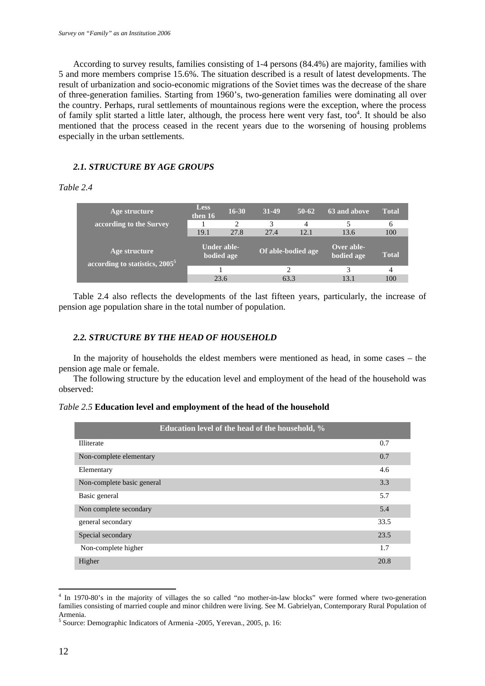According to survey results, families consisting of 1-4 persons (84.4%) are majority, families with 5 and more members comprise 15.6%. The situation described is a result of latest developments. The result of urbanization and socio-economic migrations of the Soviet times was the decrease of the share of three-generation families. Starting from 1960's, two-generation families were dominating all over the country. Perhaps, rural settlements of mountainous regions were the exception, where the process of family split started a little later, although, the process here went very fast, too<sup>4</sup>. It should be also mentioned that the process ceased in the recent years due to the worsening of housing problems especially in the urban settlements.

# *2.1. STRUCTURE BY AGE GROUPS*

## *Table 2.4*

| Age structure                                               | <b>Less</b><br>then 16    | $16 - 30$ | 31-49              | $50-62$ | 63 and above             | <b>Total</b> |
|-------------------------------------------------------------|---------------------------|-----------|--------------------|---------|--------------------------|--------------|
| according to the Survey                                     |                           | 2         | 3                  | 4       |                          | 6            |
|                                                             | 19.1                      | 27.8      | 27.4               | 12.1    | 13.6                     | 100          |
| Age structure<br>according to statistics, 2005 <sup>5</sup> | Under able-<br>bodied age |           | Of able-bodied age |         | Over able-<br>bodied age | <b>Total</b> |
|                                                             |                           |           |                    |         | 3                        | 4            |
|                                                             | 23.6                      |           | 63.3               |         | 13.1                     | 100          |

Table 2.4 also reflects the developments of the last fifteen years, particularly, the increase of pension age population share in the total number of population.

# *2.2. STRUCTURE BY THE HEAD OF HOUSEHOLD*

In the majority of households the eldest members were mentioned as head, in some cases – the pension age male or female.

The following structure by the education level and employment of the head of the household was observed:

*Table 2.5* **Education level and employment of the head of the household** 

| Education level of the head of the household, % |      |
|-------------------------------------------------|------|
| <b>Illiterate</b>                               | 0.7  |
| Non-complete elementary                         | 0.7  |
| Elementary                                      | 4.6  |
| Non-complete basic general                      | 3.3  |
| Basic general                                   | 5.7  |
| Non complete secondary                          | 5.4  |
| general secondary                               | 33.5 |
| Special secondary                               | 23.5 |
| Non-complete higher                             | 1.7  |
| Higher                                          | 20.8 |

<sup>4</sup> In 1970-80's in the majority of villages the so called "no mother-in-law blocks" were formed where two-generation families consisting of married couple and minor children were living. See M. Gabrielyan, Contemporary Rural Population of Armenia.

<sup>&</sup>lt;sup>5</sup> Source: Demographic Indicators of Armenia -2005, Yerevan., 2005, p. 16: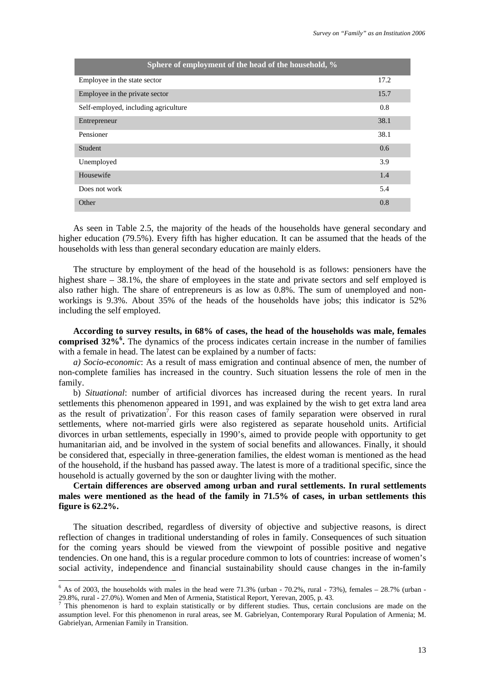| Sphere of employment of the head of the household, % |      |
|------------------------------------------------------|------|
| Employee in the state sector                         | 17.2 |
| Employee in the private sector                       | 15.7 |
| Self-employed, including agriculture                 | 0.8  |
| Entrepreneur                                         | 38.1 |
| Pensioner                                            | 38.1 |
| <b>Student</b>                                       | 0.6  |
| Unemployed                                           | 3.9  |
| Housewife                                            | 1.4  |
| Does not work                                        | 5.4  |
| Other                                                | 0.8  |

As seen in Table 2.5, the majority of the heads of the households have general secondary and higher education (79.5%). Every fifth has higher education. It can be assumed that the heads of the households with less than general secondary education are mainly elders.

The structure by employment of the head of the household is as follows: pensioners have the highest share – 38.1%, the share of employees in the state and private sectors and self employed is also rather high. The share of entrepreneurs is as low as 0.8%. The sum of unemployed and nonworkings is 9.3%. About 35% of the heads of the households have jobs; this indicator is 52% including the self employed.

**According to survey results, in 68% of cases, the head of the households was male, females**  comprised 32%<sup>6</sup>. The dynamics of the process indicates certain increase in the number of families with a female in head. The latest can be explained by a number of facts:

*a) Socio-economic*: As a result of mass emigration and continual absence of men, the number of non-complete families has increased in the country. Such situation lessens the role of men in the family.

b) *Situational*: number of artificial divorces has increased during the recent years. In rural settlements this phenomenon appeared in 1991, and was explained by the wish to get extra land area as the result of privatization<sup>7</sup>. For this reason cases of family separation were observed in rural settlements, where not-married girls were also registered as separate household units. Artificial divorces in urban settlements, especially in 1990's, aimed to provide people with opportunity to get humanitarian aid, and be involved in the system of social benefits and allowances. Finally, it should be considered that, especially in three-generation families, the eldest woman is mentioned as the head of the household, if the husband has passed away. The latest is more of a traditional specific, since the household is actually governed by the son or daughter living with the mother.

# **Certain differences are observed among urban and rural settlements. In rural settlements males were mentioned as the head of the family in 71.5% of cases, in urban settlements this figure is 62.2%.**

The situation described, regardless of diversity of objective and subjective reasons, is direct reflection of changes in traditional understanding of roles in family. Consequences of such situation for the coming years should be viewed from the viewpoint of possible positive and negative tendencies. On one hand, this is a regular procedure common to lots of countries: increase of women's social activity, independence and financial sustainability should cause changes in the in-family

Ferrit 4 as of 2003, the households with males in the head were 71.3% (urban - 70.2%, rural - 73%), females – 28.7% (urban -29.8%, rural - 27.0%). Women and Men of Armenia, Statistical Report, Yerevan, 2005, p. 43.<br><sup>7</sup> This phenomenon is hard to explain statistically or by different studies. Thus, certain conclusions are made on the

assumption level. For this phenomenon in rural areas, see M. Gabrielyan, Contemporary Rural Population of Armenia; M. Gabrielyan, Armenian Family in Transition.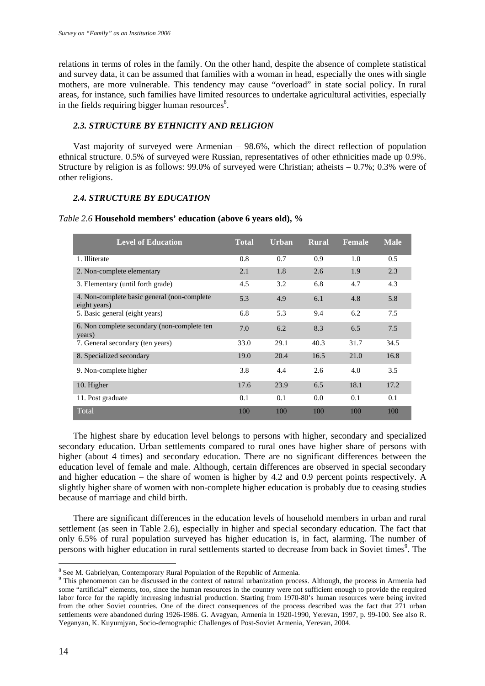relations in terms of roles in the family. On the other hand, despite the absence of complete statistical and survey data, it can be assumed that families with a woman in head, especially the ones with single mothers, are more vulnerable. This tendency may cause "overload" in state social policy. In rural areas, for instance, such families have limited resources to undertake agricultural activities, especially in the fields requiring bigger human resources $\delta$ .

# *2.3. STRUCTURE BY ETHNICITY AND RELIGION*

Vast majority of surveyed were Armenian – 98.6%, which the direct reflection of population ethnical structure. 0.5% of surveyed were Russian, representatives of other ethnicities made up 0.9%. Structure by religion is as follows: 99.0% of surveyed were Christian; atheists  $-0.7\%$ ; 0.3% were of other religions.

#### *2.4. STRUCTURE BY EDUCATION*

| <b>Level of Education</b>                                    | <b>Total</b> | <b>Urban</b> | <b>Rural</b> | <b>Female</b> | <b>Male</b> |
|--------------------------------------------------------------|--------------|--------------|--------------|---------------|-------------|
| 1. Illiterate                                                | 0.8          | 0.7          | 0.9          | 1.0           | 0.5         |
| 2. Non-complete elementary                                   | 2.1          | 1.8          | 2.6          | 1.9           | 2.3         |
| 3. Elementary (until forth grade)                            | 4.5          | 3.2          | 6.8          | 4.7           | 4.3         |
| 4. Non-complete basic general (non-complete)<br>eight years) | 5.3          | 4.9          | 6.1          | 4.8           | 5.8         |
| 5. Basic general (eight years)                               | 6.8          | 5.3          | 9.4          | 6.2           | 7.5         |
| 6. Non complete secondary (non-complete ten<br>years)        | 7.0          | 6.2          | 8.3          | 6.5           | 7.5         |
| 7. General secondary (ten years)                             | 33.0         | 29.1         | 40.3         | 31.7          | 34.5        |
| 8. Specialized secondary                                     | 19.0         | 20.4         | 16.5         | 21.0          | 16.8        |
| 9. Non-complete higher                                       | 3.8          | 4.4          | 2.6          | 4.0           | 3.5         |
| 10. Higher                                                   | 17.6         | 23.9         | 6.5          | 18.1          | 17.2        |
| 11. Post graduate                                            | 0.1          | 0.1          | 0.0          | 0.1           | 0.1         |
| Total                                                        | 100          | 100          | 100          | 100           | 100         |

The highest share by education level belongs to persons with higher, secondary and specialized secondary education. Urban settlements compared to rural ones have higher share of persons with higher (about 4 times) and secondary education. There are no significant differences between the education level of female and male. Although, certain differences are observed in special secondary and higher education – the share of women is higher by 4.2 and 0.9 percent points respectively. A slightly higher share of women with non-complete higher education is probably due to ceasing studies because of marriage and child birth.

There are significant differences in the education levels of household members in urban and rural settlement (as seen in Table 2.6), especially in higher and special secondary education. The fact that only 6.5% of rural population surveyed has higher education is, in fact, alarming. The number of persons with higher education in rural settlements started to decrease from back in Soviet times<sup>9</sup>. The

<sup>&</sup>lt;sup>8</sup> See M. Gabrielyan, Contemporary Rural Population of the Republic of Armenia.

<sup>&</sup>lt;sup>9</sup> This phenomenon can be discussed in the context of natural urbanization process. Although, the process in Armenia had some "artificial" elements, too, since the human resources in the country were not sufficient enough to provide the required labor force for the rapidly increasing industrial production. Starting from 1970-80's human resources were being invited from the other Soviet countries. One of the direct consequences of the process described was the fact that 271 urban settlements were abandoned during 1926-1986. G. Avagyan, Armenia in 1920-1990, Yerevan, 1997, p. 99-100. See also R. Yeganyan, K. Kuyumjyan, Socio-demographic Challenges of Post-Soviet Armenia, Yerevan, 2004.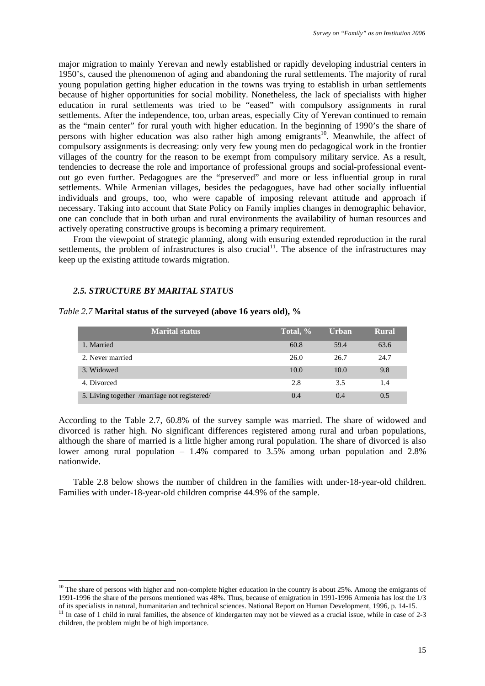major migration to mainly Yerevan and newly established or rapidly developing industrial centers in 1950's, caused the phenomenon of aging and abandoning the rural settlements. The majority of rural young population getting higher education in the towns was trying to establish in urban settlements because of higher opportunities for social mobility. Nonetheless, the lack of specialists with higher education in rural settlements was tried to be "eased" with compulsory assignments in rural settlements. After the independence, too, urban areas, especially City of Yerevan continued to remain as the "main center" for rural youth with higher education. In the beginning of 1990's the share of persons with higher education was also rather high among emigrants<sup>10</sup>. Meanwhile, the affect of compulsory assignments is decreasing: only very few young men do pedagogical work in the frontier villages of the country for the reason to be exempt from compulsory military service. As a result, tendencies to decrease the role and importance of professional groups and social-professional eventout go even further. Pedagogues are the "preserved" and more or less influential group in rural settlements. While Armenian villages, besides the pedagogues, have had other socially influential individuals and groups, too, who were capable of imposing relevant attitude and approach if necessary. Taking into account that State Policy on Family implies changes in demographic behavior, one can conclude that in both urban and rural environments the availability of human resources and actively operating constructive groups is becoming a primary requirement.

From the viewpoint of strategic planning, along with ensuring extended reproduction in the rural settlements, the problem of infrastructures is also crucial<sup>11</sup>. The absence of the infrastructures may keep up the existing attitude towards migration.

# *2.5. STRUCTURE BY MARITAL STATUS*

1

| <b>Marital status</b>                        | Total, % | Urban | <b>Rural</b> |
|----------------------------------------------|----------|-------|--------------|
| 1. Married                                   | 60.8     | 59.4  | 63.6         |
| 2. Never married                             | 26.0     | 26.7  | 24.7         |
| 3. Widowed                                   | 10.0     | 10.0  | 9.8          |
| 4. Divorced                                  | 2.8      | 3.5   | 1.4          |
| 5. Living together /marriage not registered/ | 0.4      | 0.4   | 0.5          |

#### *Table 2.7* **Marital status of the surveyed (above 16 years old), %**

According to the Table 2.7, 60.8% of the survey sample was married. The share of widowed and divorced is rather high. No significant differences registered among rural and urban populations, although the share of married is a little higher among rural population. The share of divorced is also lower among rural population – 1.4% compared to 3.5% among urban population and 2.8% nationwide.

Table 2.8 below shows the number of children in the families with under-18-year-old children. Families with under-18-year-old children comprise 44.9% of the sample.

 $10$  The share of persons with higher and non-complete higher education in the country is about 25%. Among the emigrants of 1991-1996 the share of the persons mentioned was 48%. Thus, because of emigration in 1991-1996 Armenia has lost the 1/3

of its specialists in natural, humanitarian and technical sciences. National Report on Human Development, 1996, p. 14-15.<br><sup>11</sup> In case of 1 child in rural families, the absence of kindergarten may not be viewed as a crucia children, the problem might be of high importance.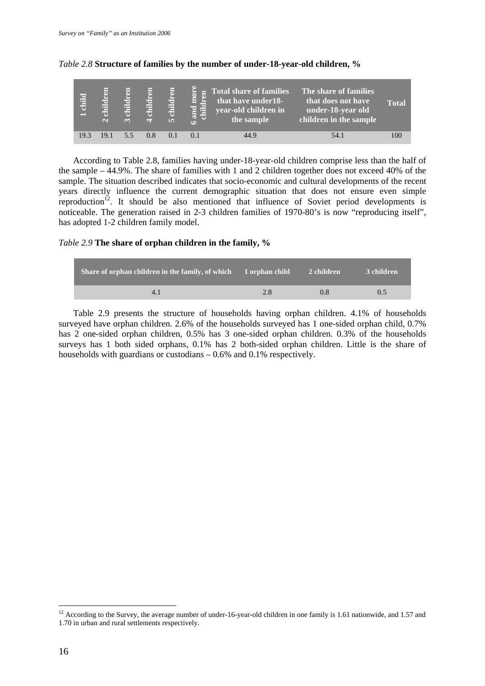| child<br>$\equiv$ | ā<br>le —<br>Ē<br>$\sim$ | F<br>r=<br>ä<br>$\sim$ | F<br>æ | E<br>Ę<br>Ghil<br><b>In</b> | $\overline{5}$<br>톱<br>and<br>child<br>$\overline{\phantom{0}}$ | 5 Total share of families<br>that have under 18-<br>year-old children in<br>the sample | The share of families<br>that does not have<br>under-18-year old<br>children in the sample | <b>Total</b> |
|-------------------|--------------------------|------------------------|--------|-----------------------------|-----------------------------------------------------------------|----------------------------------------------------------------------------------------|--------------------------------------------------------------------------------------------|--------------|
| 19.3              | 19.1                     | 55                     | 0.8    |                             |                                                                 | 44.9                                                                                   | 54.1                                                                                       | 100          |

#### *Table 2.8* **Structure of families by the number of under-18-year-old children, %**

According to Table 2.8, families having under-18-year-old children comprise less than the half of the sample – 44.9%. The share of families with 1 and 2 children together does not exceed 40% of the sample. The situation described indicates that socio-economic and cultural developments of the recent years directly influence the current demographic situation that does not ensure even simple reproduction<sup>12</sup>. It should be also mentioned that influence of Soviet period developments is noticeable. The generation raised in 2-3 children families of 1970-80's is now "reproducing itself", has adopted 1-2 children family model.

# *Table 2.9* **The share of orphan children in the family, %**

| Share of orphan children in the family, of which 1 orphan child 2 children |     |     | 3 children |
|----------------------------------------------------------------------------|-----|-----|------------|
|                                                                            | 2.8 | 0.8 | 0.5        |

Table 2.9 presents the structure of households having orphan children. 4.1% of households surveyed have orphan children. 2.6% of the households surveyed has 1 one-sided orphan child, 0.7% has 2 one-sided orphan children, 0.5% has 3 one-sided orphan children. 0.3% of the households surveys has 1 both sided orphans, 0.1% has 2 both-sided orphan children. Little is the share of households with guardians or custodians – 0.6% and 0.1% respectively.

 $12$  According to the Survey, the average number of under-16-year-old children in one family is 1.61 nationwide, and 1.57 and 1.70 in urban and rural settlements respectively.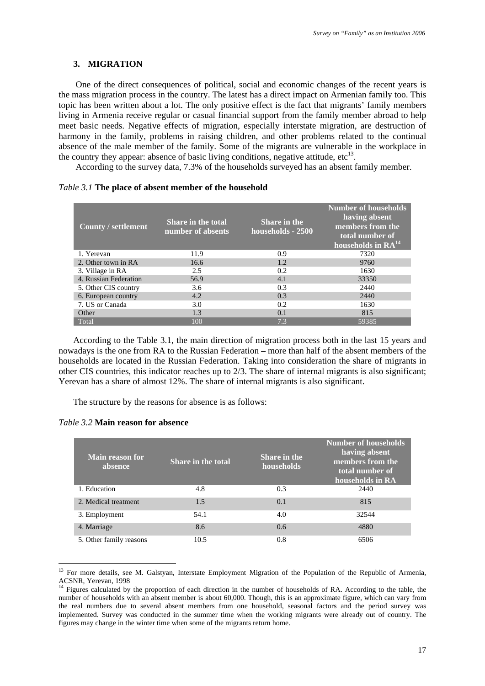#### **3. MIGRATION**

One of the direct consequences of political, social and economic changes of the recent years is the mass migration process in the country. The latest has a direct impact on Armenian family too. This topic has been written about a lot. The only positive effect is the fact that migrants' family members living in Armenia receive regular or casual financial support from the family member abroad to help meet basic needs. Negative effects of migration, especially interstate migration, are destruction of harmony in the family, problems in raising children, and other problems related to the continual absence of the male member of the family. Some of the migrants are vulnerable in the workplace in the country they appear: absence of basic living conditions, negative attitude,  $\text{etc}^{13}$ .

According to the survey data, 7.3% of the households surveyed has an absent family member.

## *Table 3.1* **The place of absent member of the household**

| <b>County / settlement</b> | Share in the total<br>number of absents | <b>Share in the</b><br>households - 2500 | <b>Number of households</b><br>having absent<br>members from the<br>total number of<br>households in RA <sup>14</sup> |
|----------------------------|-----------------------------------------|------------------------------------------|-----------------------------------------------------------------------------------------------------------------------|
| 1. Yerevan                 | 11.9                                    | 0.9                                      | 7320                                                                                                                  |
| 2. Other town in RA        | 16.6                                    | 1.2                                      | 9760                                                                                                                  |
| 3. Village in RA           | 2.5                                     | 0.2                                      | 1630                                                                                                                  |
| 4. Russian Federation      | 56.9                                    | 4.1                                      | 33350                                                                                                                 |
| 5. Other CIS country       | 3.6                                     | 0.3                                      | 2440                                                                                                                  |
| 6. European country        | 4.2                                     | 0.3                                      | 2440                                                                                                                  |
| 7. US or Canada            | 3.0                                     | 0.2                                      | 1630                                                                                                                  |
| Other                      | 1.3                                     | 0.1                                      | 815                                                                                                                   |
| Total                      | 100                                     | 7.3                                      | 59385                                                                                                                 |

According to the Table 3.1, the main direction of migration process both in the last 15 years and nowadays is the one from RA to the Russian Federation – more than half of the absent members of the households are located in the Russian Federation. Taking into consideration the share of migrants in other CIS countries, this indicator reaches up to  $2/3$ . The share of internal migrants is also significant; Yerevan has a share of almost 12%. The share of internal migrants is also significant.

The structure by the reasons for absence is as follows:

| Table 3.2 Main reason for absence |  |  |  |  |  |  |
|-----------------------------------|--|--|--|--|--|--|
|-----------------------------------|--|--|--|--|--|--|

| <b>Main reason for</b><br>absence | Share in the total | <b>Share in the</b><br>households | <b>Number of households</b><br>having absent<br>members from the<br>total number of<br>households in RA |
|-----------------------------------|--------------------|-----------------------------------|---------------------------------------------------------------------------------------------------------|
| 1. Education                      | 4.8                | 0.3                               | 2440                                                                                                    |
| 2. Medical treatment              | 1.5                | 0.1                               | 815                                                                                                     |
| 3. Employment                     | 54.1               | 4.0                               | 32544                                                                                                   |
| 4. Marriage                       | 8.6                | 0.6                               | 4880                                                                                                    |
| 5. Other family reasons           | 10.5               | 0.8                               | 6506                                                                                                    |

<sup>&</sup>lt;sup>13</sup> For more details, see M. Galstyan, Interstate Employment Migration of the Population of the Republic of Armenia, ACSNR, Yerevan, 1998

 $14$  Figures calculated by the proportion of each direction in the number of households of RA. According to the table, the number of households with an absent member is about 60,000. Though, this is an approximate figure, which can vary from the real numbers due to several absent members from one household, seasonal factors and the period survey was implemented. Survey was conducted in the summer time when the working migrants were already out of country. The figures may change in the winter time when some of the migrants return home.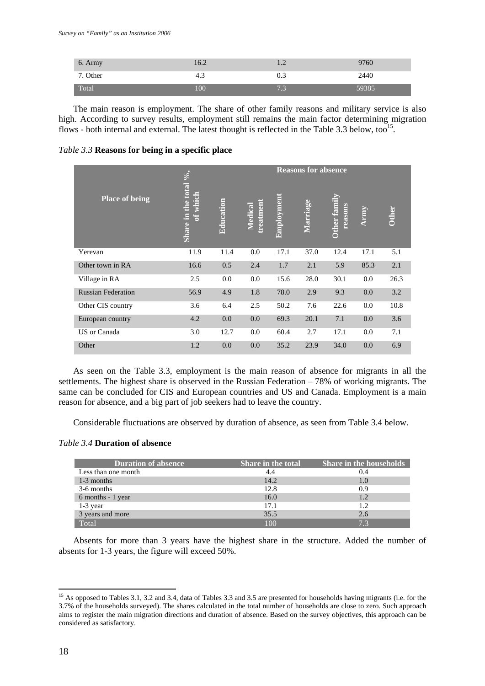| 6. Army  | 16.2 | .   | 9760  |
|----------|------|-----|-------|
| 7. Other | د.4  | 0.3 | 2440  |
| Total    | 100  | 7.3 | 59385 |

The main reason is employment. The share of other family reasons and military service is also high. According to survey results, employment still remains the main factor determining migration flows - both internal and external. The latest thought is reflected in the Table 3.3 below, too<sup>15</sup>.

*Table 3.3* **Reasons for being in a specific place** 

|                           |                                                   |           |                             |            | <b>Reasons for absence</b> |                         |      |              |
|---------------------------|---------------------------------------------------|-----------|-----------------------------|------------|----------------------------|-------------------------|------|--------------|
| <b>Place of being</b>     | the total $\frac{6}{6}$ ,<br>of which<br>Share in | Education | <b>hreatment</b><br>Medical | Employment | Marriage                   | Other family<br>reasons | Army | <b>Other</b> |
| Yerevan                   | 11.9                                              | 11.4      | 0.0                         | 17.1       | 37.0                       | 12.4                    | 17.1 | 5.1          |
| Other town in RA          | 16.6                                              | 0.5       | 2.4                         | 1.7        | 2.1                        | 5.9                     | 85.3 | 2.1          |
| Village in RA             | 2.5                                               | 0.0       | 0.0                         | 15.6       | 28.0                       | 30.1                    | 0.0  | 26.3         |
| <b>Russian Federation</b> | 56.9                                              | 4.9       | 1.8                         | 78.0       | 2.9                        | 9.3                     | 0.0  | 3.2          |
| Other CIS country         | 3.6                                               | 6.4       | 2.5                         | 50.2       | 7.6                        | 22.6                    | 0.0  | 10.8         |
| European country          | 4.2                                               | 0.0       | 0.0                         | 69.3       | 20.1                       | 7.1                     | 0.0  | 3.6          |
| US or Canada              | 3.0                                               | 12.7      | 0.0                         | 60.4       | 2.7                        | 17.1                    | 0.0  | 7.1          |
| Other                     | 1.2                                               | 0.0       | 0.0                         | 35.2       | 23.9                       | 34.0                    | 0.0  | 6.9          |

As seen on the Table 3.3, employment is the main reason of absence for migrants in all the settlements. The highest share is observed in the Russian Federation – 78% of working migrants. The same can be concluded for CIS and European countries and US and Canada. Employment is a main reason for absence, and a big part of job seekers had to leave the country.

Considerable fluctuations are observed by duration of absence, as seen from Table 3.4 below.

# *Table 3.4* **Duration of absence**

| <b>Duration of absence</b> | <b>Share in the total</b> | <b>Share in the households</b> |
|----------------------------|---------------------------|--------------------------------|
| Less than one month        |                           | 0.4                            |
| 1-3 months                 | 14.2                      | 1.0                            |
| 3-6 months                 | 12.8                      | 0.9                            |
| 6 months - 1 year          | 16.0                      | 1.2                            |
| $1-3$ year                 | 17.1                      | 1.2                            |
| 3 years and more           | 35.5                      | 2.6                            |
| Total                      | 100                       | 7 <sup>3</sup>                 |

Absents for more than 3 years have the highest share in the structure. Added the number of absents for 1-3 years, the figure will exceed 50%.

<sup>&</sup>lt;sup>15</sup> As opposed to Tables 3.1, 3.2 and 3.4, data of Tables 3.3 and 3.5 are presented for households having migrants (i.e. for the 3.7% of the households surveyed). The shares calculated in the total number of households are close to zero. Such approach aims to register the main migration directions and duration of absence. Based on the survey objectives, this approach can be considered as satisfactory.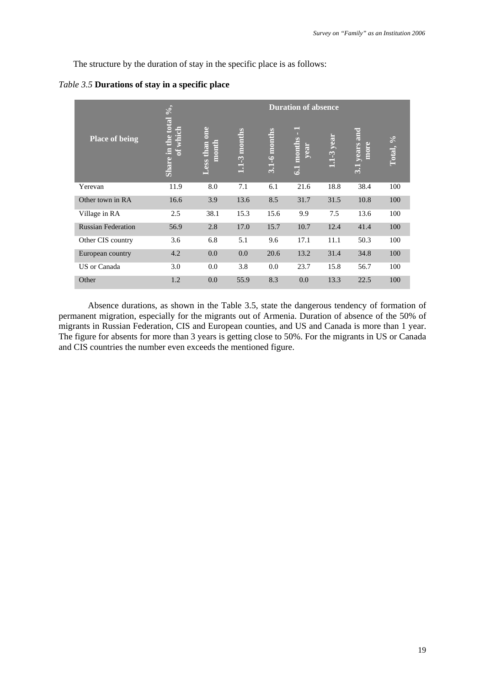The structure by the duration of stay in the specific place is as follows:

|  | Table 3.5 Durations of stay in a specific place |  |  |  |  |
|--|-------------------------------------------------|--|--|--|--|
|--|-------------------------------------------------|--|--|--|--|

|                           | $\sqrt{2}$                          |                        |                             |                  | <b>Duration of absence</b>     |                 |                                      |                         |
|---------------------------|-------------------------------------|------------------------|-----------------------------|------------------|--------------------------------|-----------------|--------------------------------------|-------------------------|
| <b>Place of being</b>     | the total<br>which<br>t<br>Share in | Less than one<br>month | -3 months<br>$\mathbf{\Xi}$ | $3.1 - 6$ months | $=$<br>months<br>year<br>$\Xi$ | year<br>$1.1-3$ | years and<br>more<br>$\overline{31}$ | $\frac{6}{6}$<br>Total, |
| Yerevan                   | 11.9                                | 8.0                    | 7.1                         | 6.1              | 21.6                           | 18.8            | 38.4                                 | 100                     |
| Other town in RA          | 16.6                                | 3.9                    | 13.6                        | 8.5              | 31.7                           | 31.5            | 10.8                                 | 100                     |
| Village in RA             | 2.5                                 | 38.1                   | 15.3                        | 15.6             | 9.9                            | 7.5             | 13.6                                 | 100                     |
| <b>Russian Federation</b> | 56.9                                | 2.8                    | 17.0                        | 15.7             | 10.7                           | 12.4            | 41.4                                 | 100                     |
| Other CIS country         | 3.6                                 | 6.8                    | 5.1                         | 9.6              | 17.1                           | 11.1            | 50.3                                 | 100                     |
| European country          | 4.2                                 | 0.0                    | 0.0                         | 20.6             | 13.2                           | 31.4            | 34.8                                 | 100                     |
| US or Canada              | 3.0                                 | 0.0                    | 3.8                         | 0.0              | 23.7                           | 15.8            | 56.7                                 | 100                     |
| Other                     | 1.2                                 | 0.0                    | 55.9                        | 8.3              | 0.0                            | 13.3            | 22.5                                 | 100                     |

Absence durations, as shown in the Table 3.5, state the dangerous tendency of formation of permanent migration, especially for the migrants out of Armenia. Duration of absence of the 50% of migrants in Russian Federation, CIS and European counties, and US and Canada is more than 1 year. The figure for absents for more than 3 years is getting close to 50%. For the migrants in US or Canada and CIS countries the number even exceeds the mentioned figure.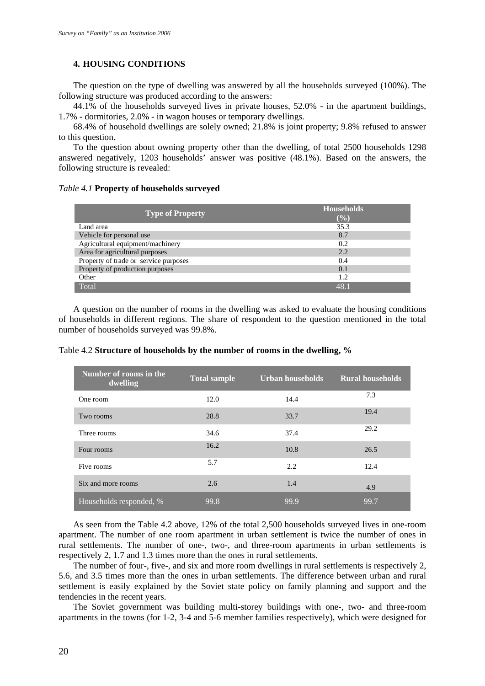### **4. HOUSING CONDITIONS**

The question on the type of dwelling was answered by all the households surveyed (100%). The following structure was produced according to the answers:

44.1% of the households surveyed lives in private houses, 52.0% - in the apartment buildings, 1.7% - dormitories, 2.0% - in wagon houses or temporary dwellings.

68.4% of household dwellings are solely owned; 21.8% is joint property; 9.8% refused to answer to this question.

To the question about owning property other than the dwelling, of total 2500 households 1298 answered negatively, 1203 households' answer was positive (48.1%). Based on the answers, the following structure is revealed:

#### *Table 4.1* **Property of households surveyed**

| <b>Type of Property</b>               | <b>Households</b><br>$(\%)$             |
|---------------------------------------|-----------------------------------------|
| Land area                             | 35.3                                    |
| Vehicle for personal use              | 8.7                                     |
| Agricultural equipment/machinery      | 0.2                                     |
| Area for agricultural purposes        | 2.2                                     |
| Property of trade or service purposes | 0.4                                     |
| Property of production purposes       | 0.1                                     |
| Other                                 | 1.2                                     |
| Total                                 | $\Delta$ <sup><math>\alpha</math></sup> |

A question on the number of rooms in the dwelling was asked to evaluate the housing conditions of households in different regions. The share of respondent to the question mentioned in the total number of households surveyed was 99.8%.

| Number of rooms in the<br>dwelling | <b>Total sample</b> | Urban households | <b>Rural households</b> |
|------------------------------------|---------------------|------------------|-------------------------|
| One room                           | 12.0                | 14.4             | 7.3                     |
| Two rooms                          | 28.8                | 33.7             | 19.4                    |
| Three rooms                        | 34.6                | 37.4             | 29.2                    |
| Four rooms                         | 16.2                | 10.8             | 26.5                    |
| Five rooms                         | 5.7                 | 2.2              | 12.4                    |
| Six and more rooms                 | 2.6                 | 1.4              | 4.9                     |
| Households responded, %            | 99.8                | 99.9             | 99.7                    |

Table 4.2 **Structure of households by the number of rooms in the dwelling, %** 

As seen from the Table 4.2 above, 12% of the total 2,500 households surveyed lives in one-room apartment. The number of one room apartment in urban settlement is twice the number of ones in rural settlements. The number of one-, two-, and three-room apartments in urban settlements is respectively 2, 1.7 and 1.3 times more than the ones in rural settlements.

The number of four-, five-, and six and more room dwellings in rural settlements is respectively 2, 5.6, and 3.5 times more than the ones in urban settlements. The difference between urban and rural settlement is easily explained by the Soviet state policy on family planning and support and the tendencies in the recent years.

The Soviet government was building multi-storey buildings with one-, two- and three-room apartments in the towns (for 1-2, 3-4 and 5-6 member families respectively), which were designed for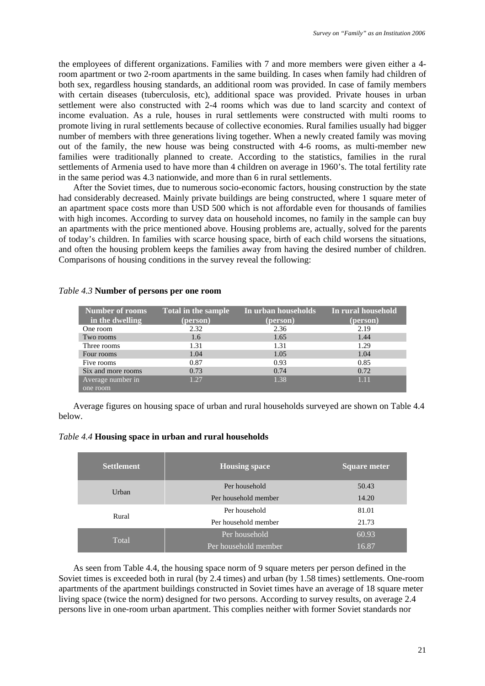the employees of different organizations. Families with 7 and more members were given either a 4 room apartment or two 2-room apartments in the same building. In cases when family had children of both sex, regardless housing standards, an additional room was provided. In case of family members with certain diseases (tuberculosis, etc), additional space was provided. Private houses in urban settlement were also constructed with 2-4 rooms which was due to land scarcity and context of income evaluation. As a rule, houses in rural settlements were constructed with multi rooms to promote living in rural settlements because of collective economies. Rural families usually had bigger number of members with three generations living together. When a newly created family was moving out of the family, the new house was being constructed with 4-6 rooms, as multi-member new families were traditionally planned to create. According to the statistics, families in the rural settlements of Armenia used to have more than 4 children on average in 1960's. The total fertility rate in the same period was 4.3 nationwide, and more than 6 in rural settlements.

After the Soviet times, due to numerous socio-economic factors, housing construction by the state had considerably decreased. Mainly private buildings are being constructed, where 1 square meter of an apartment space costs more than USD 500 which is not affordable even for thousands of families with high incomes. According to survey data on household incomes, no family in the sample can buy an apartments with the price mentioned above. Housing problems are, actually, solved for the parents of today's children. In families with scarce housing space, birth of each child worsens the situations, and often the housing problem keeps the families away from having the desired number of children. Comparisons of housing conditions in the survey reveal the following:

| Number of rooms<br>in the dwelling | <b>Total in the sample</b><br>(person) | In urban households<br>(person) | In rural household<br>(person) |
|------------------------------------|----------------------------------------|---------------------------------|--------------------------------|
| One room                           | 2.32                                   | 2.36                            | 2.19                           |
| Two rooms                          | 1.6                                    | 1.65                            | 1.44                           |
| Three rooms                        | 1.31                                   | 1.31                            | 1.29                           |
| Four rooms                         | 1.04                                   | 1.05                            | 1.04                           |
| Five rooms                         | 0.87                                   | 0.93                            | 0.85                           |
| Six and more rooms                 | 0.73                                   | 0.74                            | 0.72                           |
| Average number in                  | 1.27                                   | 1.38                            | 1.11                           |
| one room                           |                                        |                                 |                                |

#### *Table 4.3* **Number of persons per one room**

Average figures on housing space of urban and rural households surveyed are shown on Table 4.4 below.

| <b>Settlement</b> | <b>Housing space</b> | <b>Square meter</b> |
|-------------------|----------------------|---------------------|
| Urban             | Per household        | 50.43               |
|                   | Per household member | 14.20               |
|                   | Per household        | 81.01               |
| Rural             | Per household member | 21.73               |
|                   | Per household        | 60.93               |
| Total             | Per household member | 16.87               |

As seen from Table 4.4, the housing space norm of 9 square meters per person defined in the Soviet times is exceeded both in rural (by 2.4 times) and urban (by 1.58 times) settlements. One-room apartments of the apartment buildings constructed in Soviet times have an average of 18 square meter living space (twice the norm) designed for two persons. According to survey results, on average 2.4 persons live in one-room urban apartment. This complies neither with former Soviet standards nor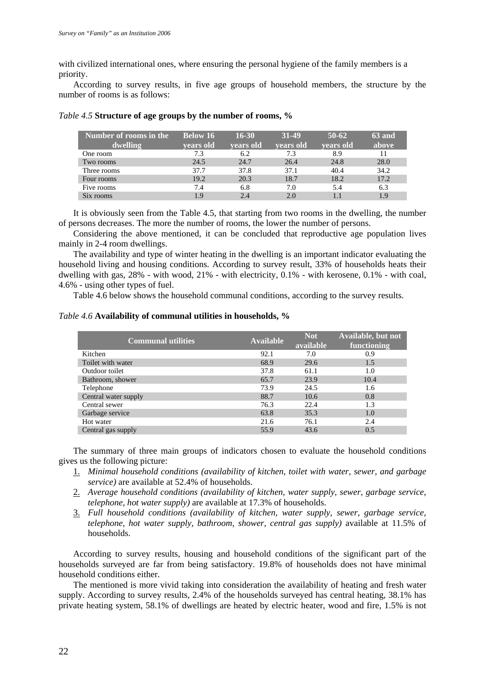with civilized international ones, where ensuring the personal hygiene of the family members is a priority.

According to survey results, in five age groups of household members, the structure by the number of rooms is as follows:

| Number of rooms in the | <b>Below 16</b> | $16 - 30$ | 31-49            | $50-62$   | 63 and |
|------------------------|-----------------|-----------|------------------|-----------|--------|
| dwelling               | vears old       | vears old | <b>vears old</b> | vears old | above  |
| One room               | 7.3             | 6.2       | 7.3              | 8.9       | 11     |
| Two rooms              | 24.5            | 24.7      | 26.4             | 24.8      | 28.0   |
| Three rooms            | 37.7            | 37.8      | 37.1             | 40.4      | 34.2   |
| Four rooms             | 19.2            | 20.3      | 18.7             | 18.2      | 17.2   |
| Five rooms             | 7.4             | 6.8       | 7.0              | 5.4       | 6.3    |
| Six rooms              | 1.9             | 2.4       | 2.0              |           | 1.9    |

|  | Table 4.5 Structure of age groups by the number of rooms, % |
|--|-------------------------------------------------------------|
|--|-------------------------------------------------------------|

It is obviously seen from the Table 4.5, that starting from two rooms in the dwelling, the number of persons decreases. The more the number of rooms, the lower the number of persons.

Considering the above mentioned, it can be concluded that reproductive age population lives mainly in 2-4 room dwellings.

The availability and type of winter heating in the dwelling is an important indicator evaluating the household living and housing conditions. According to survey result, 33% of households heats their dwelling with gas, 28% - with wood, 21% - with electricity, 0.1% - with kerosene, 0.1% - with coal, 4.6% - using other types of fuel.

Table 4.6 below shows the household communal conditions, according to the survey results.

# *Table 4.6* **Availability of communal utilities in households, %**

| <b>Communal utilities</b> | <b>Available</b> | <b>Not</b><br>available | Available, but not<br>functioning |
|---------------------------|------------------|-------------------------|-----------------------------------|
| Kitchen                   | 92.1             | 7.0                     | 0.9                               |
| Toilet with water         | 68.9             | 29.6                    | 1.5                               |
| Outdoor toilet            | 37.8             | 61.1                    | 1.0                               |
| Bathroom, shower          | 65.7             | 23.9                    | 10.4                              |
| Telephone                 | 73.9             | 24.5                    | 1.6                               |
| Central water supply      | 88.7             | 10.6                    | 0.8                               |
| Central sewer             | 76.3             | 22.4                    | 1.3                               |
| Garbage service           | 63.8             | 35.3                    | 1.0                               |
| Hot water                 | 21.6             | 76.1                    | 2.4                               |
| Central gas supply        | 55.9             | 43.6                    | 0.5                               |

The summary of three main groups of indicators chosen to evaluate the household conditions gives us the following picture:

- 1. *Minimal household conditions (availability of kitchen, toilet with water, sewer, and garbage service)* are available at 52.4% of households.
- 2. *Average household conditions (availability of kitchen, water supply, sewer, garbage service, telephone, hot water supply)* are available at 17.3% of households.
- 3. *Full household conditions (availability of kitchen, water supply, sewer, garbage service, telephone, hot water supply, bathroom, shower, central gas supply)* available at 11.5% of households.

According to survey results, housing and household conditions of the significant part of the households surveyed are far from being satisfactory. 19.8% of households does not have minimal household conditions either.

The mentioned is more vivid taking into consideration the availability of heating and fresh water supply. According to survey results, 2.4% of the households surveyed has central heating, 38.1% has private heating system, 58.1% of dwellings are heated by electric heater, wood and fire, 1.5% is not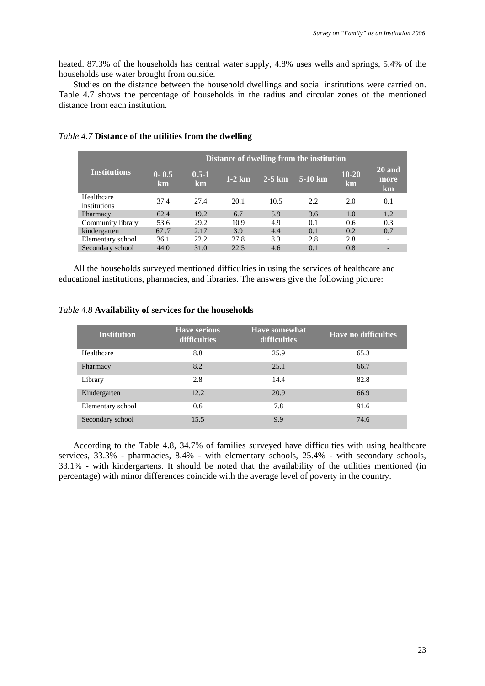heated. 87.3% of the households has central water supply, 4.8% uses wells and springs, 5.4% of the households use water brought from outside.

Studies on the distance between the household dwellings and social institutions were carried on. Table 4.7 shows the percentage of households in the radius and circular zones of the mentioned distance from each institution.

|                            | Distance of dwelling from the institution |                 |          |          |                 |                 |                      |  |
|----------------------------|-------------------------------------------|-----------------|----------|----------|-----------------|-----------------|----------------------|--|
| <b>Institutions</b>        | $0 - 0.5$<br>km                           | $0.5 - 1$<br>km | $1-2$ km | $2-5$ km | $5-10~{\rm km}$ | $10 - 20$<br>km | 20 and<br>more<br>km |  |
| Healthcare<br>institutions | 37.4                                      | 27.4            | 20.1     | 10.5     | 2.2             | 2.0             | 0.1                  |  |
| Pharmacy                   | 62.4                                      | 19.2            | 6.7      | 5.9      | 3.6             | 1.0             | 1.2                  |  |
| Community library          | 53.6                                      | 29.2            | 10.9     | 4.9      | 0.1             | 0.6             | 0.3                  |  |
| kindergarten               | 67.7                                      | 2.17            | 3.9      | 4.4      | 0.1             | 0.2             | 0.7                  |  |
| Elementary school          | 36.1                                      | 22.2            | 27.8     | 8.3      | 2.8             | 2.8             |                      |  |
| Secondary school           | 44.0                                      | 31.0            | 22.5     | 4.6      | 0.1             | 0.8             |                      |  |

## *Table 4.7* **Distance of the utilities from the dwelling**

All the households surveyed mentioned difficulties in using the services of healthcare and educational institutions, pharmacies, and libraries. The answers give the following picture:

| Table 4.8 Availability of services for the households |  |  |  |  |  |
|-------------------------------------------------------|--|--|--|--|--|
|-------------------------------------------------------|--|--|--|--|--|

| <b>Institution</b> | <b>Have serious</b><br>difficulties | <b>Have somewhat</b><br><b>difficulties</b> | <b>Have no difficulties</b> |
|--------------------|-------------------------------------|---------------------------------------------|-----------------------------|
| Healthcare         | 8.8                                 | 25.9                                        | 65.3                        |
| Pharmacy           | 8.2                                 | 25.1                                        | 66.7                        |
| Library            | 2.8                                 | 14.4                                        | 82.8                        |
| Kindergarten       | 12.2                                | 20.9                                        | 66.9                        |
| Elementary school  | 0.6                                 | 7.8                                         | 91.6                        |
| Secondary school   | 15.5                                | 9.9                                         | 74.6                        |

According to the Table 4.8, 34.7% of families surveyed have difficulties with using healthcare services, 33.3% - pharmacies, 8.4% - with elementary schools, 25.4% - with secondary schools, 33.1% - with kindergartens. It should be noted that the availability of the utilities mentioned (in percentage) with minor differences coincide with the average level of poverty in the country.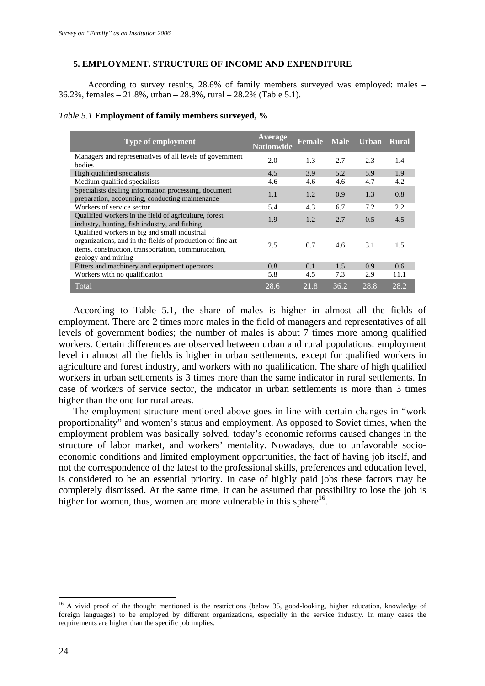## **5. EMPLOYMENT. STRUCTURE OF INCOME AND EXPENDITURE**

 According to survey results, 28.6% of family members surveyed was employed: males – 36.2%, females – 21.8%, urban – 28.8%, rural – 28.2% (Table 5.1).

#### *Table 5.1* **Employment of family members surveyed, %**

| Type of employment                                                                                                                                                                       | Average<br>Nationwide | <b>Female</b> | <b>Male</b> | Urban | Rural |
|------------------------------------------------------------------------------------------------------------------------------------------------------------------------------------------|-----------------------|---------------|-------------|-------|-------|
| Managers and representatives of all levels of government<br>bodies                                                                                                                       | 2.0                   | 1.3           | 2.7         | 2.3   | 1.4   |
| High qualified specialists                                                                                                                                                               | 4.5                   | 3.9           | 5.2         | 5.9   | 1.9   |
| Medium qualified specialists                                                                                                                                                             | 4.6                   | 4.6           | 4.6         | 4.7   | 4.2   |
| Specialists dealing information processing, document<br>preparation, accounting, conducting maintenance                                                                                  | 1.1                   | 1.2           | 0.9         | 1.3   | 0.8   |
| Workers of service sector                                                                                                                                                                | 5.4                   | 4.3           | 6.7         | 7.2   | 2.2   |
| Qualified workers in the field of agriculture, forest<br>industry, hunting, fish industry, and fishing                                                                                   | 1.9                   | 1.2           | 2.7         | 0.5   | 4.5   |
| Qualified workers in big and small industrial<br>organizations, and in the fields of production of fine art<br>items, construction, transportation, communication,<br>geology and mining | 2.5                   | 0.7           | 4.6         | 3.1   | 1.5   |
| Fitters and machinery and equipment operators                                                                                                                                            | 0.8                   | 0.1           | 1.5         | 0.9   | 0.6   |
| Workers with no qualification                                                                                                                                                            | 5.8                   | 4.5           | 7.3         | 2.9   | 11.1  |
| Total                                                                                                                                                                                    | 28.6                  | 21.8          | 36.2        | 28.8  | 28.2  |

According to Table 5.1, the share of males is higher in almost all the fields of employment. There are 2 times more males in the field of managers and representatives of all levels of government bodies; the number of males is about 7 times more among qualified workers. Certain differences are observed between urban and rural populations: employment level in almost all the fields is higher in urban settlements, except for qualified workers in agriculture and forest industry, and workers with no qualification. The share of high qualified workers in urban settlements is 3 times more than the same indicator in rural settlements. In case of workers of service sector, the indicator in urban settlements is more than 3 times higher than the one for rural areas.

The employment structure mentioned above goes in line with certain changes in "work proportionality" and women's status and employment. As opposed to Soviet times, when the employment problem was basically solved, today's economic reforms caused changes in the structure of labor market, and workers' mentality. Nowadays, due to unfavorable socioeconomic conditions and limited employment opportunities, the fact of having job itself, and not the correspondence of the latest to the professional skills, preferences and education level, is considered to be an essential priority. In case of highly paid jobs these factors may be completely dismissed. At the same time, it can be assumed that possibility to lose the job is higher for women, thus, women are more vulnerable in this sphere $16$ .

<u>.</u>

 $16$  A vivid proof of the thought mentioned is the restrictions (below 35, good-looking, higher education, knowledge of foreign languages) to be employed by different organizations, especially in the service industry. In many cases the requirements are higher than the specific job implies.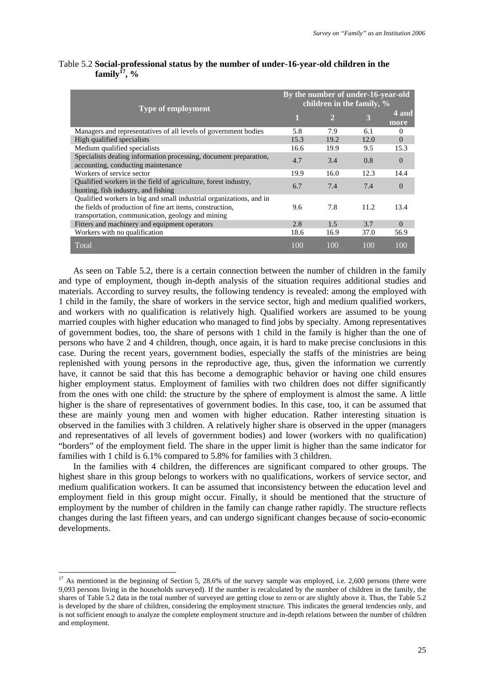| Type of employment                                                                                                                                                                    | By the number of under-16-year-old<br>children in the family, % |                |      |               |  |
|---------------------------------------------------------------------------------------------------------------------------------------------------------------------------------------|-----------------------------------------------------------------|----------------|------|---------------|--|
|                                                                                                                                                                                       | 1                                                               | $\overline{2}$ | 3    | 4 and<br>more |  |
| Managers and representatives of all levels of government bodies                                                                                                                       | 5.8                                                             | 7.9            | 6.1  | $\Omega$      |  |
| High qualified specialists                                                                                                                                                            | 15.3                                                            | 19.2           | 12.0 | $\Omega$      |  |
| Medium qualified specialists                                                                                                                                                          | 16.6                                                            | 19.9           | 9.5  | 15.3          |  |
| Specialists dealing information processing, document preparation,<br>accounting, conducting maintenance                                                                               | 4.7                                                             | 3.4            | 0.8  | $\Omega$      |  |
| Workers of service sector                                                                                                                                                             | 19.9                                                            | 16.0           | 12.3 | 14.4          |  |
| Qualified workers in the field of agriculture, forest industry,<br>hunting, fish industry, and fishing                                                                                | 6.7                                                             | 7.4            | 7.4  | $\Omega$      |  |
| Qualified workers in big and small industrial organizations, and in<br>the fields of production of fine art items, construction,<br>transportation, communication, geology and mining | 9.6                                                             | 7.8            | 11.2 | 13.4          |  |
| Fitters and machinery and equipment operators                                                                                                                                         | 2.8                                                             | 1.5            | 3.7  | $\Omega$      |  |
| Workers with no qualification                                                                                                                                                         | 18.6                                                            | 16.9           | 37.0 | 56.9          |  |
| Total                                                                                                                                                                                 | 100                                                             | 100            | 100  | 100           |  |

## Table 5.2 **Social-professional status by the number of under-16-year-old children in the family17, %**

As seen on Table 5.2, there is a certain connection between the number of children in the family and type of employment, though in-depth analysis of the situation requires additional studies and materials. According to survey results, the following tendency is revealed: among the employed with 1 child in the family, the share of workers in the service sector, high and medium qualified workers, and workers with no qualification is relatively high. Qualified workers are assumed to be young married couples with higher education who managed to find jobs by specialty. Among representatives of government bodies, too, the share of persons with 1 child in the family is higher than the one of persons who have 2 and 4 children, though, once again, it is hard to make precise conclusions in this case. During the recent years, government bodies, especially the staffs of the ministries are being replenished with young persons in the reproductive age, thus, given the information we currently have, it cannot be said that this has become a demographic behavior or having one child ensures higher employment status. Employment of families with two children does not differ significantly from the ones with one child: the structure by the sphere of employment is almost the same. A little higher is the share of representatives of government bodies. In this case, too, it can be assumed that these are mainly young men and women with higher education. Rather interesting situation is observed in the families with 3 children. A relatively higher share is observed in the upper (managers and representatives of all levels of government bodies) and lower (workers with no qualification) "borders" of the employment field. The share in the upper limit is higher than the same indicator for families with 1 child is 6.1% compared to 5.8% for families with 3 children.

In the families with 4 children, the differences are significant compared to other groups. The highest share in this group belongs to workers with no qualifications, workers of service sector, and medium qualification workers. It can be assumed that inconsistency between the education level and employment field in this group might occur. Finally, it should be mentioned that the structure of employment by the number of children in the family can change rather rapidly. The structure reflects changes during the last fifteen years, and can undergo significant changes because of socio-economic developments.

<u>.</u>

 $17$  As mentioned in the beginning of Section 5, 28.6% of the survey sample was employed, i.e. 2,600 persons (there were 9,093 persons living in the households surveyed). If the number is recalculated by the number of children in the family, the shares of Table 5.2 data in the total number of surveyed are getting close to zero or are slightly above it. Thus, the Table 5.2 is developed by the share of children, considering the employment structure. This indicates the general tendencies only, and is not sufficient enough to analyze the complete employment structure and in-depth relations between the number of children and employment.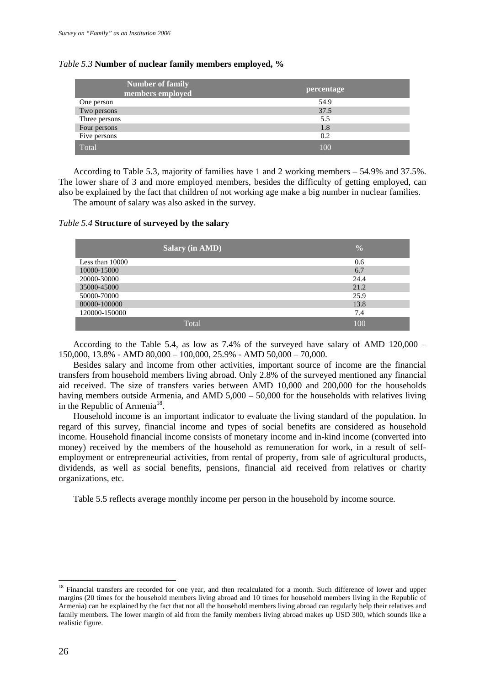#### *Table 5.3* **Number of nuclear family members employed, %**

| <b>Number of family</b><br>members employed | percentage |
|---------------------------------------------|------------|
| One person                                  | 54.9       |
| Two persons                                 | 37.5       |
| Three persons                               | 5.5        |
| Four persons                                | 1.8        |
| Five persons                                | 0.2        |
| Total                                       | 100        |

According to Table 5.3, majority of families have 1 and 2 working members – 54.9% and 37.5%. The lower share of 3 and more employed members, besides the difficulty of getting employed, can also be explained by the fact that children of not working age make a big number in nuclear families. The amount of salary was also asked in the survey.

#### *Table 5.4* **Structure of surveyed by the salary**

|                 | <b>Salary (in AMD)</b> | $\frac{0}{0}$ |
|-----------------|------------------------|---------------|
| Less than 10000 |                        | 0.6           |
| 10000-15000     |                        | 6.7           |
| 20000-30000     |                        | 24.4          |
| 35000-45000     |                        | 21.2          |
| 50000-70000     |                        | 25.9          |
| 80000-100000    |                        | 13.8          |
| 120000-150000   |                        | 7.4           |
|                 | Total                  | 100           |

According to the Table 5.4, as low as  $7.4\%$  of the surveyed have salary of AMD 120,000 – 150,000, 13.8% - AMD 80,000 – 100,000, 25.9% - AMD 50,000 – 70,000.

Besides salary and income from other activities, important source of income are the financial transfers from household members living abroad. Only 2.8% of the surveyed mentioned any financial aid received. The size of transfers varies between AMD 10,000 and 200,000 for the households having members outside Armenia, and AMD 5,000 – 50,000 for the households with relatives living in the Republic of Armenia<sup>18</sup>.

Household income is an important indicator to evaluate the living standard of the population. In regard of this survey, financial income and types of social benefits are considered as household income. Household financial income consists of monetary income and in-kind income (converted into money) received by the members of the household as remuneration for work, in a result of selfemployment or entrepreneurial activities, from rental of property, from sale of agricultural products, dividends, as well as social benefits, pensions, financial aid received from relatives or charity organizations, etc.

Table 5.5 reflects average monthly income per person in the household by income source.

<sup>&</sup>lt;sup>18</sup> Financial transfers are recorded for one year, and then recalculated for a month. Such difference of lower and upper margins (20 times for the household members living abroad and 10 times for household members living in the Republic of Armenia) can be explained by the fact that not all the household members living abroad can regularly help their relatives and family members. The lower margin of aid from the family members living abroad makes up USD 300, which sounds like a realistic figure.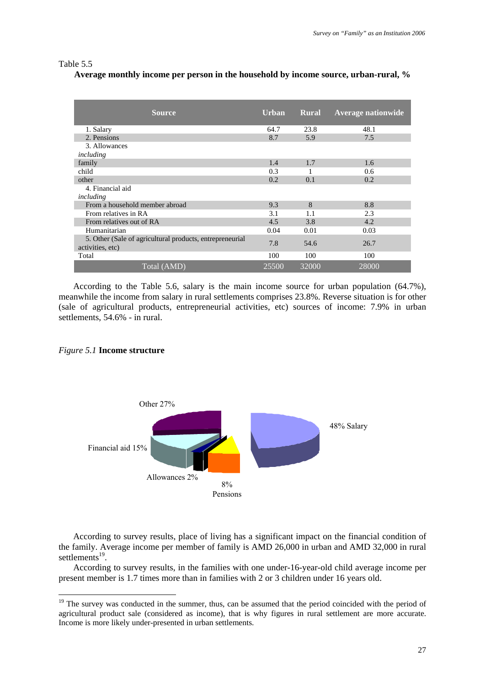#### Table 5.5

# **Average monthly income per person in the household by income source, urban-rural, %**

| <b>Source</b>                                                                | <b>Urban</b> | <b>Rural</b> | <b>Average nationwide</b> |
|------------------------------------------------------------------------------|--------------|--------------|---------------------------|
| 1. Salary                                                                    | 64.7         | 23.8         | 48.1                      |
| 2. Pensions                                                                  | 8.7          | 5.9          | 7.5                       |
| 3. Allowances                                                                |              |              |                           |
| including                                                                    |              |              |                           |
| family                                                                       | 1.4          | 1.7          | 1.6                       |
| child                                                                        | 0.3          | 1            | 0.6                       |
| other                                                                        | 0.2          | 0.1          | 0.2                       |
| 4. Financial aid                                                             |              |              |                           |
| including                                                                    |              |              |                           |
| From a household member abroad                                               | 9.3          | 8            | 8.8                       |
| From relatives in RA                                                         | 3.1          | 1.1          | 2.3                       |
| From relatives out of RA                                                     | 4.5          | 3.8          | 4.2                       |
| Humanitarian                                                                 | 0.04         | 0.01         | 0.03                      |
| 5. Other (Sale of agricultural products, entrepreneurial<br>activities, etc) | 7.8          | 54.6         | 26.7                      |
| Total                                                                        | 100          | 100          | 100                       |
| Total (AMD)                                                                  | 25500        | 32000        | 28000                     |

According to the Table 5.6, salary is the main income source for urban population (64.7%), meanwhile the income from salary in rural settlements comprises 23.8%. Reverse situation is for other (sale of agricultural products, entrepreneurial activities, etc) sources of income: 7.9% in urban settlements, 54.6% - in rural.

# *Figure 5.1* **Income structure**

1



According to survey results, place of living has a significant impact on the financial condition of the family. Average income per member of family is AMD 26,000 in urban and AMD 32,000 in rural settlements<sup>19</sup>.

According to survey results, in the families with one under-16-year-old child average income per present member is 1.7 times more than in families with 2 or 3 children under 16 years old.

<sup>&</sup>lt;sup>19</sup> The survey was conducted in the summer, thus, can be assumed that the period coincided with the period of agricultural product sale (considered as income), that is why figures in rural settlement are more accurate. Income is more likely under-presented in urban settlements.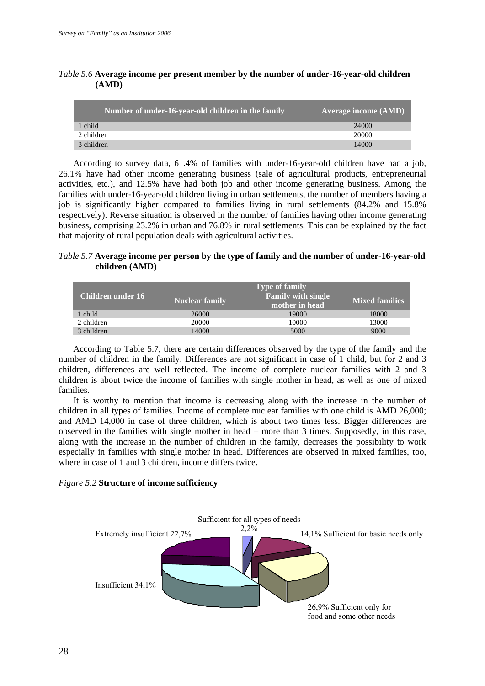| Number of under-16-year-old children in the family | <b>Average income (AMD)</b> |
|----------------------------------------------------|-----------------------------|
| 1 child                                            | 24000                       |
| 2 children                                         | 20000                       |
| 3 children                                         | 14000                       |

*Table 5.6* **Average income per present member by the number of under-16-year-old children (AMD)** 

According to survey data, 61.4% of families with under-16-year-old children have had a job, 26.1% have had other income generating business (sale of agricultural products, entrepreneurial activities, etc.), and 12.5% have had both job and other income generating business. Among the families with under-16-year-old children living in urban settlements, the number of members having a job is significantly higher compared to families living in rural settlements (84.2% and 15.8% respectively). Reverse situation is observed in the number of families having other income generating business, comprising 23.2% in urban and 76.8% in rural settlements. This can be explained by the fact that majority of rural population deals with agricultural activities.

# *Table 5.7* **Average income per person by the type of family and the number of under-16-year-old children (AMD)**

| Children under 16 | <b>Nuclear family</b> | <b>Type of family</b><br><b>Family with single</b><br>mother in head | <b>Mixed families</b> |
|-------------------|-----------------------|----------------------------------------------------------------------|-----------------------|
| 1 child           | 26000                 | 19000                                                                | 18000                 |
| 2 children        | 20000                 | 10000                                                                | 13000                 |
| 3 children        | 14000                 | 5000                                                                 | 9000                  |

According to Table 5.7, there are certain differences observed by the type of the family and the number of children in the family. Differences are not significant in case of 1 child, but for 2 and 3 children, differences are well reflected. The income of complete nuclear families with 2 and 3 children is about twice the income of families with single mother in head, as well as one of mixed families.

It is worthy to mention that income is decreasing along with the increase in the number of children in all types of families. Income of complete nuclear families with one child is AMD 26,000; and AMD 14,000 in case of three children, which is about two times less. Bigger differences are observed in the families with single mother in head – more than 3 times. Supposedly, in this case, along with the increase in the number of children in the family, decreases the possibility to work especially in families with single mother in head. Differences are observed in mixed families, too, where in case of 1 and 3 children, income differs twice.

# *Figure 5.2* **Structure of income sufficiency**

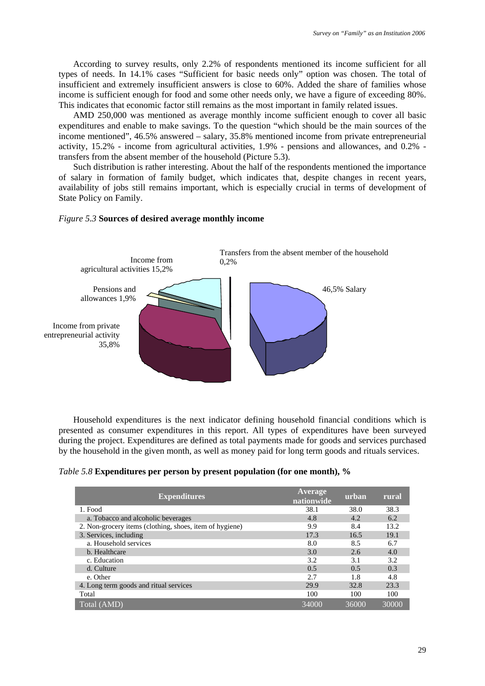According to survey results, only 2.2% of respondents mentioned its income sufficient for all types of needs. In 14.1% cases "Sufficient for basic needs only" option was chosen. The total of insufficient and extremely insufficient answers is close to 60%. Added the share of families whose income is sufficient enough for food and some other needs only, we have a figure of exceeding 80%. This indicates that economic factor still remains as the most important in family related issues.

AMD 250,000 was mentioned as average monthly income sufficient enough to cover all basic expenditures and enable to make savings. To the question "which should be the main sources of the income mentioned", 46.5% answered – salary, 35.8% mentioned income from private entrepreneurial activity, 15.2% - income from agricultural activities, 1.9% - pensions and allowances, and 0.2% transfers from the absent member of the household (Picture 5.3).

Such distribution is rather interesting. About the half of the respondents mentioned the importance of salary in formation of family budget, which indicates that, despite changes in recent years, availability of jobs still remains important, which is especially crucial in terms of development of State Policy on Family.



*Figure 5.3* **Sources of desired average monthly income**



Household expenditures is the next indicator defining household financial conditions which is presented as consumer expenditures in this report. All types of expenditures have been surveyed during the project. Expenditures are defined as total payments made for goods and services purchased by the household in the given month, as well as money paid for long term goods and rituals services.

*Table 5.8* **Expenditures per person by present population (for one month), %** 

| <b>Expenditures</b>                                     | <b>Average</b><br>nationwide | urban | rural |
|---------------------------------------------------------|------------------------------|-------|-------|
| 1. Food                                                 | 38.1                         | 38.0  | 38.3  |
| a. Tobacco and alcoholic beverages                      | 4.8                          | 4.2   | 6.2   |
| 2. Non-grocery items (clothing, shoes, item of hygiene) | 9.9                          | 8.4   | 13.2  |
| 3. Services, including                                  | 17.3                         | 16.5  | 19.1  |
| a. Household services                                   | 8.0                          | 8.5   | 6.7   |
| b. Healthcare                                           | 3.0                          | 2.6   | 4.0   |
| c. Education                                            | 3.2                          | 3.1   | 3.2   |
| d. Culture                                              | 0.5                          | 0.5   | 0.3   |
| e. Other                                                | 2.7                          | 1.8   | 4.8   |
| 4. Long term goods and ritual services                  | 29.9                         | 32.8  | 23.3  |
| Total                                                   | 100                          | 100   | 100   |
| $\overline{\text{Total (AMD)}}$                         | 34000                        | 36000 | 30000 |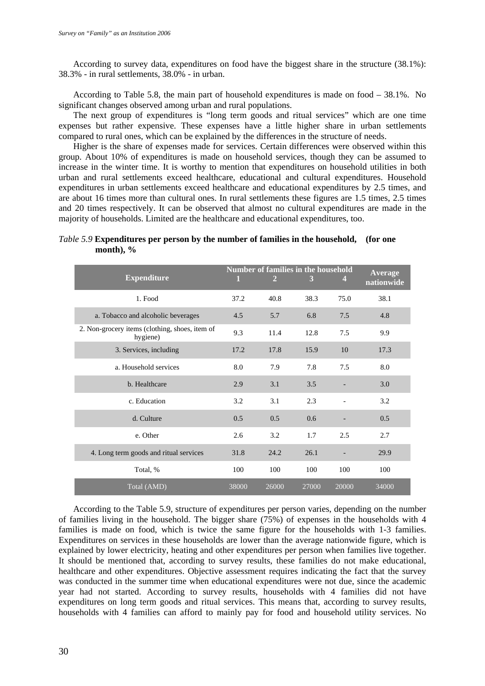According to survey data, expenditures on food have the biggest share in the structure (38.1%): 38.3% - in rural settlements, 38.0% - in urban.

According to Table 5.8, the main part of household expenditures is made on food – 38.1%. No significant changes observed among urban and rural populations.

The next group of expenditures is "long term goods and ritual services" which are one time expenses but rather expensive. These expenses have a little higher share in urban settlements compared to rural ones, which can be explained by the differences in the structure of needs.

Higher is the share of expenses made for services. Certain differences were observed within this group. About 10% of expenditures is made on household services, though they can be assumed to increase in the winter time. It is worthy to mention that expenditures on household utilities in both urban and rural settlements exceed healthcare, educational and cultural expenditures. Household expenditures in urban settlements exceed healthcare and educational expenditures by 2.5 times, and are about 16 times more than cultural ones. In rural settlements these figures are 1.5 times, 2.5 times and 20 times respectively. It can be observed that almost no cultural expenditures are made in the majority of households. Limited are the healthcare and educational expenditures, too.

# *Table 5.9* **Expenditures per person by the number of families in the household, (for one month), %**

| <b>Expenditure</b>                                         | 1     | <b>Number of families in the household</b><br>2 | 3     | 4.    | <b>Average</b><br>nationwide |
|------------------------------------------------------------|-------|-------------------------------------------------|-------|-------|------------------------------|
| 1. Food                                                    | 37.2  | 40.8                                            | 38.3  | 75.0  | 38.1                         |
| a. Tobacco and alcoholic beverages                         | 4.5   | 5.7                                             | 6.8   | 7.5   | 4.8                          |
| 2. Non-grocery items (clothing, shoes, item of<br>hygiene) | 9.3   | 11.4                                            | 12.8  | 7.5   | 9.9                          |
| 3. Services, including                                     | 17.2  | 17.8                                            | 15.9  | 10    | 17.3                         |
| a. Household services                                      | 8.0   | 7.9                                             | 7.8   | 7.5   | 8.0                          |
| b. Healthcare                                              | 2.9   | 3.1                                             | 3.5   |       | 3.0                          |
| c. Education                                               | 3.2   | 3.1                                             | 2.3   |       | 3.2                          |
| d. Culture                                                 | 0.5   | 0.5                                             | 0.6   |       | 0.5                          |
| e. Other                                                   | 2.6   | 3.2                                             | 1.7   | 2.5   | 2.7                          |
| 4. Long term goods and ritual services                     | 31.8  | 24.2                                            | 26.1  |       | 29.9                         |
| Total, %                                                   | 100   | 100                                             | 100   | 100   | 100                          |
| Total (AMD)                                                | 38000 | 26000                                           | 27000 | 20000 | 34000                        |

According to the Table 5.9, structure of expenditures per person varies, depending on the number of families living in the household. The bigger share (75%) of expenses in the households with 4 families is made on food, which is twice the same figure for the households with 1-3 families. Expenditures on services in these households are lower than the average nationwide figure, which is explained by lower electricity, heating and other expenditures per person when families live together. It should be mentioned that, according to survey results, these families do not make educational, healthcare and other expenditures. Objective assessment requires indicating the fact that the survey was conducted in the summer time when educational expenditures were not due, since the academic year had not started. According to survey results, households with 4 families did not have expenditures on long term goods and ritual services. This means that, according to survey results, households with 4 families can afford to mainly pay for food and household utility services. No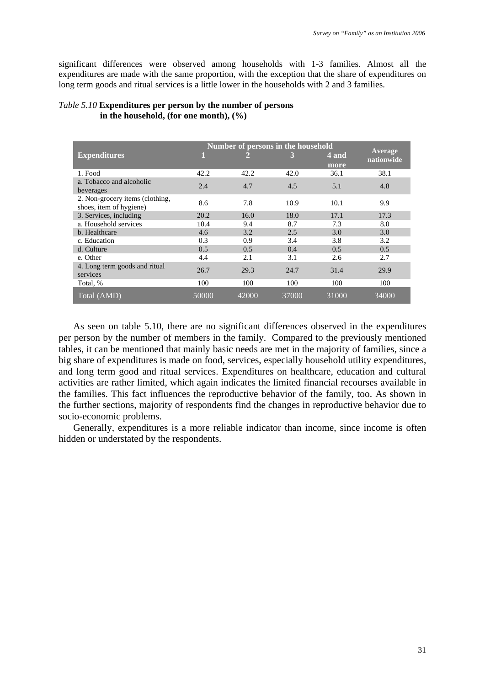significant differences were observed among households with 1-3 families. Almost all the expenditures are made with the same proportion, with the exception that the share of expenditures on long term goods and ritual services is a little lower in the households with 2 and 3 families.

|                                                            | Number of persons in the household |       |       |       |                       |  |
|------------------------------------------------------------|------------------------------------|-------|-------|-------|-----------------------|--|
| <b>Expenditures</b>                                        |                                    |       | 3     | 4 and | Average<br>nationwide |  |
|                                                            |                                    |       |       | more  |                       |  |
| 1. Food                                                    | 42.2                               | 42.2  | 42.0  | 36.1  | 38.1                  |  |
| a. Tobacco and alcoholic<br>beverages                      | 2.4                                | 4.7   | 4.5   | 5.1   | 4.8                   |  |
| 2. Non-grocery items (clothing,<br>shoes, item of hygiene) | 8.6                                | 7.8   | 10.9  | 10.1  | 9.9                   |  |
| 3. Services, including                                     | 20.2                               | 16.0  | 18.0  | 17.1  | 17.3                  |  |
| a. Household services                                      | 10.4                               | 9.4   | 8.7   | 7.3   | 8.0                   |  |
| b. Healthcare                                              | 4.6                                | 3.2   | 2.5   | 3.0   | 3.0                   |  |
| c. Education                                               | 0.3                                | 0.9   | 3.4   | 3.8   | 3.2                   |  |
| d. Culture                                                 | 0.5                                | 0.5   | 0.4   | 0.5   | 0.5                   |  |
| e. Other                                                   | 4.4                                | 2.1   | 3.1   | 2.6   | 2.7                   |  |
| 4. Long term goods and ritual<br>services                  | 26.7                               | 29.3  | 24.7  | 31.4  | 29.9                  |  |
| Total, %                                                   | 100                                | 100   | 100   | 100   | 100                   |  |
| Total (AMD)                                                | 50000                              | 42000 | 37000 | 31000 | 34000                 |  |

# *Table 5.10* **Expenditures per person by the number of persons in the household, (for one month), (%)**

As seen on table 5.10, there are no significant differences observed in the expenditures per person by the number of members in the family. Compared to the previously mentioned tables, it can be mentioned that mainly basic needs are met in the majority of families, since a big share of expenditures is made on food, services, especially household utility expenditures, and long term good and ritual services. Expenditures on healthcare, education and cultural activities are rather limited, which again indicates the limited financial recourses available in the families. This fact influences the reproductive behavior of the family, too. As shown in the further sections, majority of respondents find the changes in reproductive behavior due to socio-economic problems.

Generally, expenditures is a more reliable indicator than income, since income is often hidden or understated by the respondents.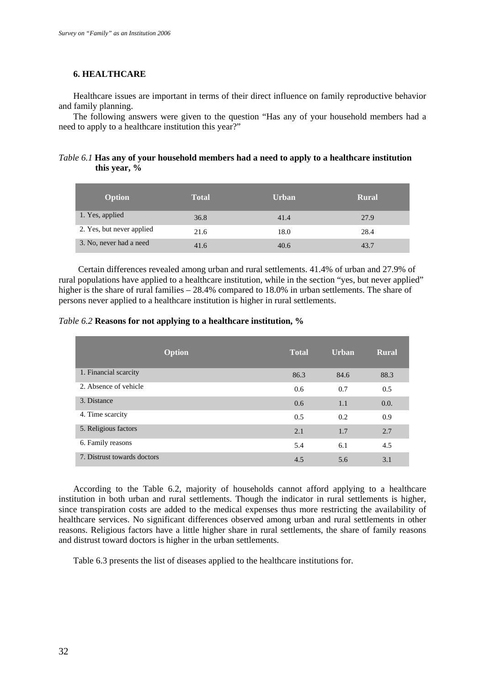#### **6. HEALTHCARE**

Healthcare issues are important in terms of their direct influence on family reproductive behavior and family planning.

The following answers were given to the question "Has any of your household members had a need to apply to a healthcare institution this year?"

# *Table 6.1* **Has any of your household members had a need to apply to a healthcare institution this year, %**

| <b>Option</b>             | <b>Total</b> | <b>Urban</b> | <b>Rural</b> |
|---------------------------|--------------|--------------|--------------|
| 1. Yes, applied           | 36.8         | 41.4         | 27.9         |
| 2. Yes, but never applied | 21.6         | 18.0         | 28.4         |
| 3. No, never had a need   | 41.6         | 40.6         | 43.7         |

Certain differences revealed among urban and rural settlements. 41.4% of urban and 27.9% of rural populations have applied to a healthcare institution, while in the section "yes, but never applied" higher is the share of rural families – 28.4% compared to 18.0% in urban settlements. The share of persons never applied to a healthcare institution is higher in rural settlements.

# *Table 6.2* **Reasons for not applying to a healthcare institution, %**

| <b>Option</b>               | <b>Total</b> | <b>Urban</b> | <b>Rural</b> |
|-----------------------------|--------------|--------------|--------------|
| 1. Financial scarcity       | 86.3         | 84.6         | 88.3         |
| 2. Absence of vehicle       | 0.6          | 0.7          | 0.5          |
| 3. Distance                 | 0.6          | 1.1          | 0.0.         |
| 4. Time scarcity            | 0.5          | 0.2          | 0.9          |
| 5. Religious factors        | 2.1          | 1.7          | 2.7          |
| 6. Family reasons           | 5.4          | 6.1          | 4.5          |
| 7. Distrust towards doctors | 4.5          | 5.6          | 3.1          |

According to the Table 6.2, majority of households cannot afford applying to a healthcare institution in both urban and rural settlements. Though the indicator in rural settlements is higher, since transpiration costs are added to the medical expenses thus more restricting the availability of healthcare services. No significant differences observed among urban and rural settlements in other reasons. Religious factors have a little higher share in rural settlements, the share of family reasons and distrust toward doctors is higher in the urban settlements.

Table 6.3 presents the list of diseases applied to the healthcare institutions for.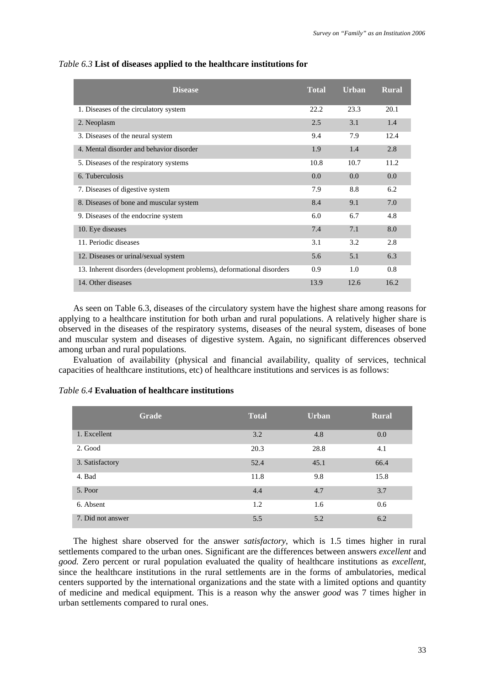| <b>Disease</b>                                                         | <b>Total</b> | <b>Urban</b> | <b>Rural</b> |
|------------------------------------------------------------------------|--------------|--------------|--------------|
| 1. Diseases of the circulatory system                                  | 22.2         | 23.3         | 20.1         |
| 2. Neoplasm                                                            | 2.5          | 3.1          | 1.4          |
| 3. Diseases of the neural system                                       | 9.4          | 7.9          | 12.4         |
| 4. Mental disorder and behavior disorder                               | 1.9          | 1.4          | 2.8          |
| 5. Diseases of the respiratory systems                                 | 10.8         | 10.7         | 11.2         |
| 6. Tuberculosis                                                        | 0.0          | 0.0          | 0.0          |
| 7. Diseases of digestive system                                        | 7.9          | 8.8          | 6.2          |
| 8. Diseases of bone and muscular system                                | 8.4          | 9.1          | 7.0          |
| 9. Diseases of the endocrine system                                    | 6.0          | 6.7          | 4.8          |
| 10. Eye diseases                                                       | 7.4          | 7.1          | 8.0          |
| 11. Periodic diseases                                                  | 3.1          | 3.2          | 2.8          |
| 12. Diseases or urinal/sexual system                                   | 5.6          | 5.1          | 6.3          |
| 13. Inherent disorders (development problems), deformational disorders | 0.9          | 1.0          | 0.8          |
| 14. Other diseases                                                     | 13.9         | 12.6         | 16.2         |

#### *Table 6.3* **List of diseases applied to the healthcare institutions for**

As seen on Table 6.3, diseases of the circulatory system have the highest share among reasons for applying to a healthcare institution for both urban and rural populations. A relatively higher share is observed in the diseases of the respiratory systems, diseases of the neural system, diseases of bone and muscular system and diseases of digestive system. Again, no significant differences observed among urban and rural populations.

Evaluation of availability (physical and financial availability, quality of services, technical capacities of healthcare institutions, etc) of healthcare institutions and services is as follows:

|                   | Grade | <b>Total</b> | <b>Urban</b> | <b>Rural</b> |
|-------------------|-------|--------------|--------------|--------------|
| 1. Excellent      |       | 3.2          | 4.8          | 0.0          |
| 2. Good           |       | 20.3         | 28.8         | 4.1          |
| 3. Satisfactory   |       | 52.4         | 45.1         | 66.4         |
| 4. Bad            |       | 11.8         | 9.8          | 15.8         |
| 5. Poor           |       | 4.4          | 4.7          | 3.7          |
| 6. Absent         |       | 1.2          | 1.6          | 0.6          |
| 7. Did not answer |       | 5.5          | 5.2          | 6.2          |

#### *Table 6.4* **Evaluation of healthcare institutions**

The highest share observed for the answer *satisfactory*, which is 1.5 times higher in rural settlements compared to the urban ones. Significant are the differences between answers *excellent* and *good.* Zero percent or rural population evaluated the quality of healthcare institutions as *excellent*, since the healthcare institutions in the rural settlements are in the forms of ambulatories, medical centers supported by the international organizations and the state with a limited options and quantity of medicine and medical equipment. This is a reason why the answer *good* was 7 times higher in urban settlements compared to rural ones.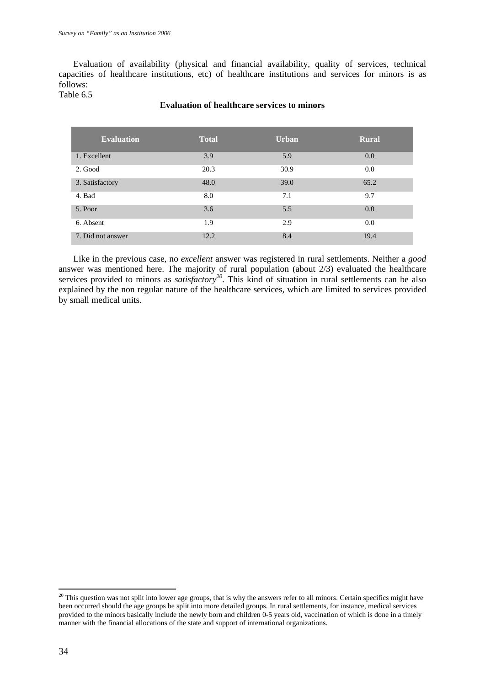Evaluation of availability (physical and financial availability, quality of services, technical capacities of healthcare institutions, etc) of healthcare institutions and services for minors is as follows:

Table 6.5

## **Evaluation of healthcare services to minors**

| <b>Evaluation</b> | <b>Total</b> | <b>Urban</b> | <b>Rural</b> |
|-------------------|--------------|--------------|--------------|
| 1. Excellent      | 3.9          | 5.9          | 0.0          |
| 2. Good           | 20.3         | 30.9         | 0.0          |
| 3. Satisfactory   | 48.0         | 39.0         | 65.2         |
| 4. Bad            | 8.0          | 7.1          | 9.7          |
| 5. Poor           | 3.6          | 5.5          | 0.0          |
| 6. Absent         | 1.9          | 2.9          | 0.0          |
| 7. Did not answer | 12.2         | 8.4          | 19.4         |

Like in the previous case, no *excellent* answer was registered in rural settlements. Neither a *good* answer was mentioned here. The majority of rural population (about 2/3) evaluated the healthcare services provided to minors as *satisfactory*<sup>20</sup>. This kind of situation in rural settlements can be also explained by the non regular nature of the healthcare services, which are limited to services provided by small medical units.

 $^{20}$  This question was not split into lower age groups, that is why the answers refer to all minors. Certain specifics might have been occurred should the age groups be split into more detailed groups. In rural settlements, for instance, medical services provided to the minors basically include the newly born and children 0-5 years old, vaccination of which is done in a timely manner with the financial allocations of the state and support of international organizations.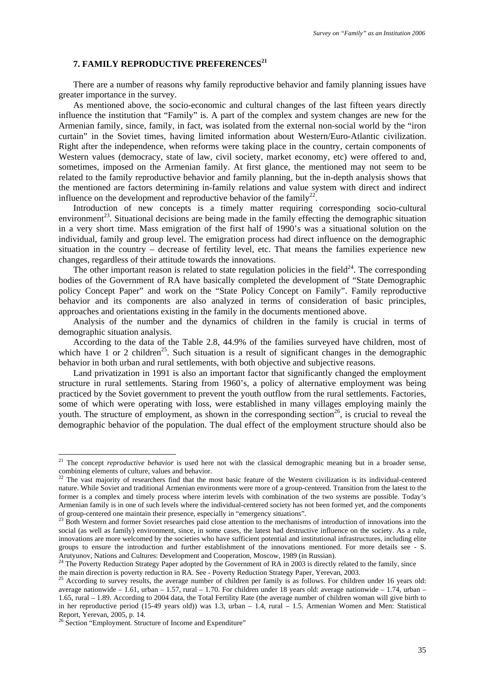# **7. FAMILY REPRODUCTIVE PREFERENCES<sup>21</sup>**

There are a number of reasons why family reproductive behavior and family planning issues have greater importance in the survey.

As mentioned above, the socio-economic and cultural changes of the last fifteen years directly influence the institution that "Family" is. A part of the complex and system changes are new for the Armenian family, since, family, in fact, was isolated from the external non-social world by the "iron curtain" in the Soviet times, having limited information about Western/Euro-Atlantic civilization. Right after the independence, when reforms were taking place in the country, certain components of Western values (democracy, state of law, civil society, market economy, etc) were offered to and, sometimes, imposed on the Armenian family. At first glance, the mentioned may not seem to be related to the family reproductive behavior and family planning, but the in-depth analysis shows that the mentioned are factors determining in-family relations and value system with direct and indirect influence on the development and reproductive behavior of the family<sup>22</sup>.

Introduction of new concepts is a timely matter requiring corresponding socio-cultural environment<sup>23</sup>. Situational decisions are being made in the family effecting the demographic situation in a very short time. Mass emigration of the first half of 1990's was a situational solution on the individual, family and group level. The emigration process had direct influence on the demographic situation in the country – decrease of fertility level, etc. That means the families experience new changes, regardless of their attitude towards the innovations.

The other important reason is related to state regulation policies in the field $^{24}$ . The corresponding bodies of the Government of RA have basically completed the development of "State Demographic policy Concept Paper" and work on the "State Policy Concept on Family". Family reproductive behavior and its components are also analyzed in terms of consideration of basic principles, approaches and orientations existing in the family in the documents mentioned above.

Analysis of the number and the dynamics of children in the family is crucial in terms of demographic situation analysis.

According to the data of the Table 2.8, 44.9% of the families surveyed have children, most of which have  $\overline{1}$  or 2 children<sup>25</sup>. Such situation is a result of significant changes in the demographic behavior in both urban and rural settlements, with both objective and subjective reasons.

Land privatization in 1991 is also an important factor that significantly changed the employment structure in rural settlements. Staring from 1960's, a policy of alternative employment was being practiced by the Soviet government to prevent the youth outflow from the rural settlements. Factories, some of which were operating with loss, were established in many villages employing mainly the youth. The structure of employment, as shown in the corresponding section<sup>26</sup>, is crucial to reveal the demographic behavior of the population. The dual effect of the employment structure should also be

<sup>&</sup>lt;sup>21</sup> The concept *reproductive behavior* is used here not with the classical demographic meaning but in a broader sense, combining elements of culture, values and behavior.

 $2<sup>22</sup>$  The vast majority of researchers find that the most basic feature of the Western civilization is its individual-centered nature. While Soviet and traditional Armenian environments were more of a group-centered. Transition from the latest to the former is a complex and timely process where interim levels with combination of the two systems are possible. Today's Armenian family is in one of such levels where the individual-centered society has not been formed yet, and the components of group-centered one maintain their presence, especially in "emergency situations". 23 Both Western and former Soviet researches paid close attention to the mechanisms of introduction of innovations into the

social (as well as family) environment, since, in some cases, the latest had destructive influence on the society. As a rule, innovations are more welcomed by the societies who have sufficient potential and institutional infrastructures, including elite groups to ensure the introduction and further establishment of the innovations mentioned. For more details see - S. Arutyunov, Nations and Cultures: Development and Cooperation, Moscow, 1989 (in Russian).<br><sup>24</sup> The Poverty Reduction Strategy Paper adopted by the Government of RA in 2003 is directly related to the family, since

the main direction is poverty reduction in RA. See - Poverty Reduction Strategy Paper, Yerevan, 2003.<br><sup>25</sup> According to survey results, the average number of children per family is as follows. For children under 16 years o

average nationwide – 1.61, urban – 1.57, rural – 1.70. For children under 18 years old: average nationwide – 1.74, urban – 1.65, rural – 1.89. According to 2004 data, the Total Fertility Rate (the average number of children woman will give birth to in her reproductive period (15-49 years old)) was 1.3, urban – 1.4, rural – 1.5. Armenian Women and Men: Statistical Report, Yerevan, 2005, p. 14.

<sup>&</sup>lt;sup>26</sup> Section "Employment. Structure of Income and Expenditure"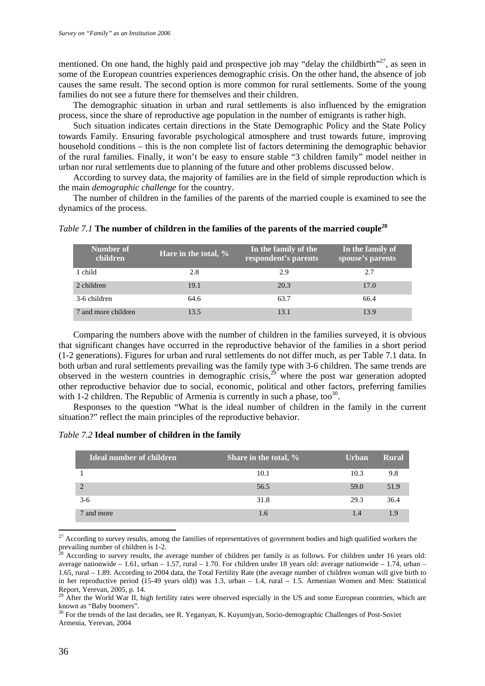mentioned. On one hand, the highly paid and prospective job may "delay the childbirth"<sup>27</sup>, as seen in some of the European countries experiences demographic crisis. On the other hand, the absence of job causes the same result. The second option is more common for rural settlements. Some of the young families do not see a future there for themselves and their children.

The demographic situation in urban and rural settlements is also influenced by the emigration process, since the share of reproductive age population in the number of emigrants is rather high.

Such situation indicates certain directions in the State Demographic Policy and the State Policy towards Family. Ensuring favorable psychological atmosphere and trust towards future, improving household conditions – this is the non complete list of factors determining the demographic behavior of the rural families. Finally, it won't be easy to ensure stable "3 children family" model neither in urban nor rural settlements due to planning of the future and other problems discussed below.

According to survey data, the majority of families are in the field of simple reproduction which is the main *demographic challenge* for the country.

The number of children in the families of the parents of the married couple is examined to see the dynamics of the process.

| Number of<br>children | Hare in the total, % | In the family of the<br>respondent's parents | In the family of<br>spouse's parents |
|-----------------------|----------------------|----------------------------------------------|--------------------------------------|
| 1 child               | 2.8                  | 2.9                                          | 2.7                                  |
| 2 children            | 19.1                 | 20.3                                         | 17.0                                 |
| 3-6 children          | 64.6                 | 63.7                                         | 66.4                                 |
| 7 and more children   | 13.5                 | 13.1                                         | 13.9                                 |

# *Table 7.1* **The number of children in the families of the parents of the married couple<sup>28</sup>**

Comparing the numbers above with the number of children in the families surveyed, it is obvious that significant changes have occurred in the reproductive behavior of the families in a short period (1-2 generations). Figures for urban and rural settlements do not differ much, as per Table 7.1 data. In both urban and rural settlements prevailing was the family type with 3-6 children. The same trends are observed in the western countries in demographic crisis,<sup>29</sup> where the post war generation adopted other reproductive behavior due to social, economic, political and other factors, preferring families with 1-2 children. The Republic of Armenia is currently in such a phase, too<sup>30</sup>.

Responses to the question "What is the ideal number of children in the family in the current situation?" reflect the main principles of the reproductive behavior.

# *Table 7.2* **Ideal number of children in the family**

| <b>Ideal number of children</b> | Share in the total, % | <b>Urban</b> | <b>Rural</b> |
|---------------------------------|-----------------------|--------------|--------------|
|                                 | 10.1                  | 10.3         | 9.8          |
| $\overline{2}$                  | 56.5                  | 59.0         | 51.9         |
| $3-6$                           | 31.8                  | 29.3         | 36.4         |
| and more                        | 1.6                   | 1.4          | 19)          |

<sup>&</sup>lt;sup>27</sup> According to survey results, among the families of representatives of government bodies and high qualified workers the prevailing number of children is 1-2.

<u>.</u>

<sup>28</sup> According to survey results, the average number of children per family is as follows. For children under 16 years old: average nationwide – 1.61, urban – 1.57, rural – 1.70. For children under 18 years old: average nationwide – 1.74, urban – 1.65, rural – 1.89. According to 2004 data, the Total Fertility Rate (the average number of children woman will give birth to in her reproductive period (15-49 years old)) was 1.3, urban – 1.4, rural – 1.5. Armenian Women and Men: Statistical Report, Yerevan, 2005, p. 14.

<sup>&</sup>lt;sup>29</sup> After the World War II, high fertility rates were observed especially in the US and some European countries, which are known as "Baby boomers".

<sup>&</sup>lt;sup>30</sup> For the trends of the last decades, see R. Yeganyan, K. Kuyumjyan, Socio-demographic Challenges of Post-Soviet Armenia, Yerevan, 2004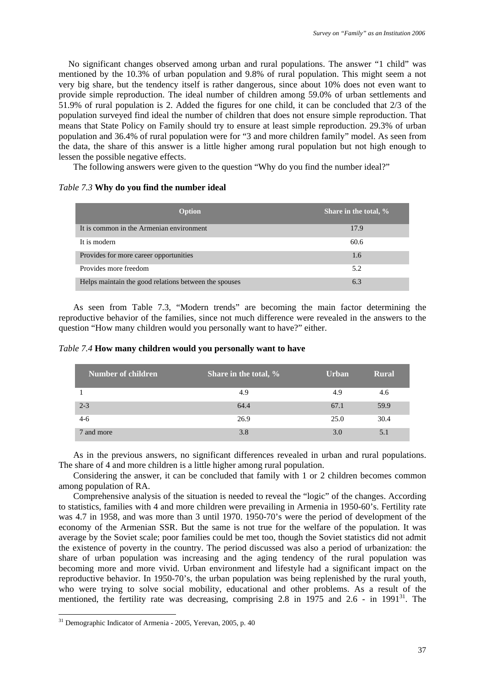No significant changes observed among urban and rural populations. The answer "1 child" was mentioned by the 10.3% of urban population and 9.8% of rural population. This might seem a not very big share, but the tendency itself is rather dangerous, since about 10% does not even want to provide simple reproduction. The ideal number of children among 59.0% of urban settlements and 51.9% of rural population is 2. Added the figures for one child, it can be concluded that 2/3 of the population surveyed find ideal the number of children that does not ensure simple reproduction. That means that State Policy on Family should try to ensure at least simple reproduction. 29.3% of urban population and 36.4% of rural population were for "3 and more children family" model. As seen from the data, the share of this answer is a little higher among rural population but not high enough to lessen the possible negative effects.

The following answers were given to the question "Why do you find the number ideal?"

# *Table 7.3* **Why do you find the number ideal**

| Option                                                | Share in the total, % |
|-------------------------------------------------------|-----------------------|
| It is common in the Armenian environment              | 17.9                  |
| It is modern                                          | 60.6                  |
| Provides for more career opportunities                | 1.6                   |
| Provides more freedom                                 | 5.2                   |
| Helps maintain the good relations between the spouses | 6.3                   |

As seen from Table 7.3, "Modern trends" are becoming the main factor determining the reproductive behavior of the families, since not much difference were revealed in the answers to the question "How many children would you personally want to have?" either.

# *Table 7.4* **How many children would you personally want to have**

| Number of children | Share in the total, % | <b>Urban</b> | <b>Rural</b> |
|--------------------|-----------------------|--------------|--------------|
|                    | 4.9                   | 4.9          | 4.6          |
| $2 - 3$            | 64.4                  | 67.1         | 59.9         |
| $4-6$              | 26.9                  | 25.0         | 30.4         |
| 7 and more         | 3.8                   | 3.0          | 5.1          |

As in the previous answers, no significant differences revealed in urban and rural populations. The share of 4 and more children is a little higher among rural population.

Considering the answer, it can be concluded that family with 1 or 2 children becomes common among population of RA.

Comprehensive analysis of the situation is needed to reveal the "logic" of the changes. According to statistics, families with 4 and more children were prevailing in Armenia in 1950-60's. Fertility rate was 4.7 in 1958, and was more than 3 until 1970. 1950-70's were the period of development of the economy of the Armenian SSR. But the same is not true for the welfare of the population. It was average by the Soviet scale; poor families could be met too, though the Soviet statistics did not admit the existence of poverty in the country. The period discussed was also a period of urbanization: the share of urban population was increasing and the aging tendency of the rural population was becoming more and more vivid. Urban environment and lifestyle had a significant impact on the reproductive behavior. In 1950-70's, the urban population was being replenished by the rural youth, who were trying to solve social mobility, educational and other problems. As a result of the mentioned, the fertility rate was decreasing, comprising 2.8 in 1975 and 2.6 - in 1991<sup>31</sup>. The

<u>.</u>

<sup>&</sup>lt;sup>31</sup> Demographic Indicator of Armenia - 2005, Yerevan, 2005, p. 40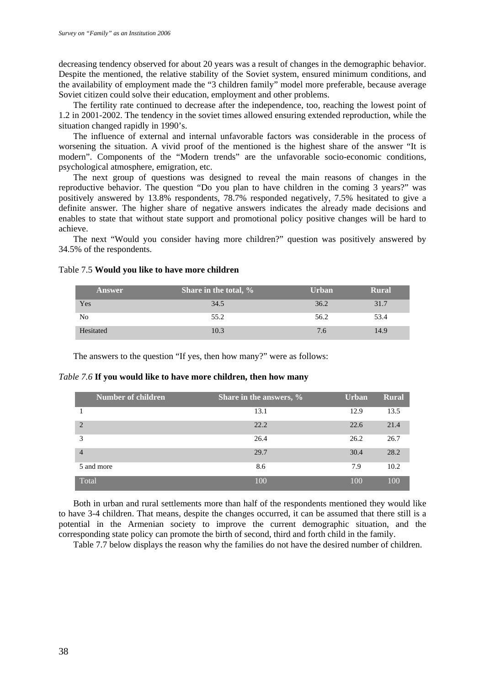decreasing tendency observed for about 20 years was a result of changes in the demographic behavior. Despite the mentioned, the relative stability of the Soviet system, ensured minimum conditions, and the availability of employment made the "3 children family" model more preferable, because average Soviet citizen could solve their education, employment and other problems.

The fertility rate continued to decrease after the independence, too, reaching the lowest point of 1.2 in 2001-2002. The tendency in the soviet times allowed ensuring extended reproduction, while the situation changed rapidly in 1990's.

The influence of external and internal unfavorable factors was considerable in the process of worsening the situation. A vivid proof of the mentioned is the highest share of the answer "It is modern". Components of the "Modern trends" are the unfavorable socio-economic conditions, psychological atmosphere, emigration, etc.

The next group of questions was designed to reveal the main reasons of changes in the reproductive behavior. The question "Do you plan to have children in the coming 3 years?" was positively answered by 13.8% respondents, 78.7% responded negatively, 7.5% hesitated to give a definite answer. The higher share of negative answers indicates the already made decisions and enables to state that without state support and promotional policy positive changes will be hard to achieve.

The next "Would you consider having more children?" question was positively answered by 34.5% of the respondents.

| Answer    | Share in the total, % | <b>Urban</b> | Rural |
|-----------|-----------------------|--------------|-------|
| Yes       | 34.5                  | 36.2         | 31.7  |
| No        | 55.2                  | 56.2         | 53.4  |
| Hesitated | 10.3                  | 7.6          | 14.9  |

#### Table 7.5 **Would you like to have more children**

The answers to the question "If yes, then how many?" were as follows:

#### *Table 7.6* **If you would like to have more children, then how many**

|                | Number of children | Share in the answers, % | <b>Urban</b> | <b>Rural</b> |
|----------------|--------------------|-------------------------|--------------|--------------|
|                |                    | 13.1                    | 12.9         | 13.5         |
| $\mathcal{L}$  |                    | 22.2                    | 22.6         | 21.4         |
| 3              |                    | 26.4                    | 26.2         | 26.7         |
| $\overline{4}$ |                    | 29.7                    | 30.4         | 28.2         |
| 5 and more     |                    | 8.6                     | 7.9          | 10.2         |
| Total          |                    | 100                     | 100          | 100          |

Both in urban and rural settlements more than half of the respondents mentioned they would like to have 3-4 children. That means, despite the changes occurred, it can be assumed that there still is a potential in the Armenian society to improve the current demographic situation, and the corresponding state policy can promote the birth of second, third and forth child in the family.

Table 7.7 below displays the reason why the families do not have the desired number of children.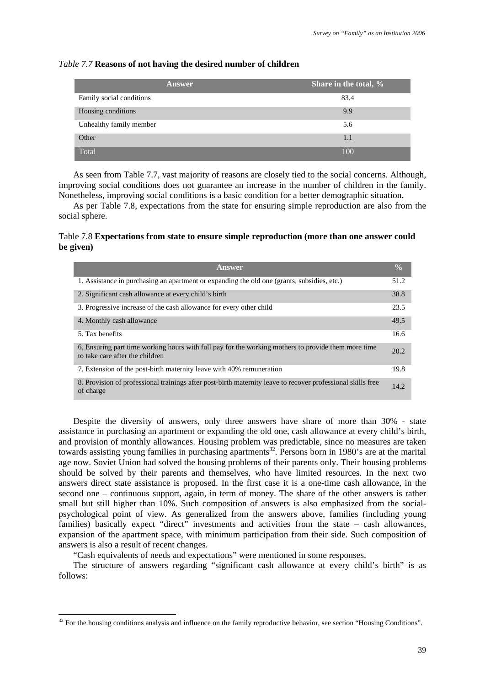#### *Table 7.7* **Reasons of not having the desired number of children**

| Answer                   | Share in the total, % |
|--------------------------|-----------------------|
| Family social conditions | 83.4                  |
| Housing conditions       | 9.9                   |
| Unhealthy family member  | 5.6                   |
| Other                    | 1.1                   |
| Total                    | 100                   |

As seen from Table 7.7, vast majority of reasons are closely tied to the social concerns. Although, improving social conditions does not guarantee an increase in the number of children in the family. Nonetheless, improving social conditions is a basic condition for a better demographic situation.

As per Table 7.8, expectations from the state for ensuring simple reproduction are also from the social sphere.

# Table 7.8 **Expectations from state to ensure simple reproduction (more than one answer could be given)**

| Answer                                                                                                                                 | $\frac{0}{0}$ |
|----------------------------------------------------------------------------------------------------------------------------------------|---------------|
| 1. Assistance in purchasing an apartment or expanding the old one (grants, subsidies, etc.)                                            | 51.2          |
| 2. Significant cash allowance at every child's birth                                                                                   | 38.8          |
| 3. Progressive increase of the cash allowance for every other child                                                                    | 23.5          |
| 4. Monthly cash allowance                                                                                                              | 49.5          |
| 5. Tax benefits                                                                                                                        | 16.6          |
| 6. Ensuring part time working hours with full pay for the working mothers to provide them more time<br>to take care after the children | 20.2          |
| 7. Extension of the post-birth maternity leave with 40% remuneration                                                                   | 19.8          |
| 8. Provision of professional trainings after post-birth maternity leave to recover professional skills free<br>of charge               | 14.2          |

Despite the diversity of answers, only three answers have share of more than 30% - state assistance in purchasing an apartment or expanding the old one, cash allowance at every child's birth, and provision of monthly allowances. Housing problem was predictable, since no measures are taken towards assisting young families in purchasing apartments<sup>32</sup>. Persons born in 1980's are at the marital age now. Soviet Union had solved the housing problems of their parents only. Their housing problems should be solved by their parents and themselves, who have limited resources. In the next two answers direct state assistance is proposed. In the first case it is a one-time cash allowance, in the second one – continuous support, again, in term of money. The share of the other answers is rather small but still higher than 10%. Such composition of answers is also emphasized from the socialpsychological point of view. As generalized from the answers above, families (including young families) basically expect "direct" investments and activities from the state – cash allowances, expansion of the apartment space, with minimum participation from their side. Such composition of answers is also a result of recent changes.

"Cash equivalents of needs and expectations" were mentioned in some responses.

<u>.</u>

The structure of answers regarding "significant cash allowance at every child's birth" is as follows:

 $32$  For the housing conditions analysis and influence on the family reproductive behavior, see section "Housing Conditions".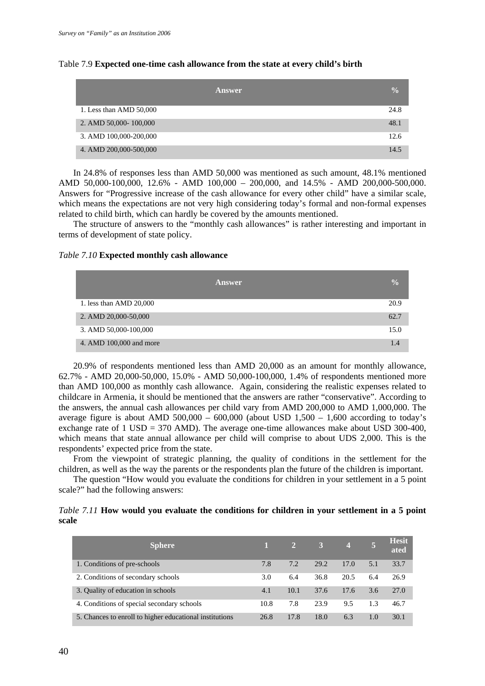|                         | Answer | $\overline{\mathbf{0}}_0$ |
|-------------------------|--------|---------------------------|
| 1. Less than AMD 50,000 |        | 24.8                      |
| 2. AMD 50,000-100,000   |        | 48.1                      |
| 3. AMD 100,000-200,000  |        | 12.6                      |
| 4. AMD 200,000-500,000  |        | 14.5                      |

#### Table 7.9 **Expected one-time cash allowance from the state at every child's birth**

In 24.8% of responses less than AMD 50,000 was mentioned as such amount, 48.1% mentioned AMD 50,000-100,000, 12.6% - AMD 100,000 – 200,000, and 14.5% - AMD 200,000-500,000. Answers for "Progressive increase of the cash allowance for every other child" have a similar scale, which means the expectations are not very high considering today's formal and non-formal expenses related to child birth, which can hardly be covered by the amounts mentioned.

The structure of answers to the "monthly cash allowances" is rather interesting and important in terms of development of state policy.

### *Table 7.10* **Expected monthly cash allowance**

| <b>Answer</b>           | $\frac{0}{0}$ |
|-------------------------|---------------|
| 1. less than AMD 20,000 | 20.9          |
| 2. AMD 20,000-50,000    | 62.7          |
| 3. AMD 50,000-100,000   | 15.0          |
| 4. AMD 100,000 and more | 1.4           |

20.9% of respondents mentioned less than AMD 20,000 as an amount for monthly allowance, 62.7% - AMD 20,000-50,000, 15.0% - AMD 50,000-100,000, 1.4% of respondents mentioned more than AMD 100,000 as monthly cash allowance. Again, considering the realistic expenses related to childcare in Armenia, it should be mentioned that the answers are rather "conservative". According to the answers, the annual cash allowances per child vary from AMD 200,000 to AMD 1,000,000. The average figure is about AMD 500,000 – 600,000 (about USD  $1,500 - 1,600$  according to today's exchange rate of 1 USD = 370 AMD). The average one-time allowances make about USD 300-400, which means that state annual allowance per child will comprise to about UDS 2,000. This is the respondents' expected price from the state.

From the viewpoint of strategic planning, the quality of conditions in the settlement for the children, as well as the way the parents or the respondents plan the future of the children is important.

The question "How would you evaluate the conditions for children in your settlement in a 5 point scale?" had the following answers:

|       |  |  |  | Table 7.11 How would you evaluate the conditions for children in your settlement in a 5 point |  |  |  |  |
|-------|--|--|--|-----------------------------------------------------------------------------------------------|--|--|--|--|
| scale |  |  |  |                                                                                               |  |  |  |  |

| <b>Sphere</b>                                           |      | 27   | 3 <sup>1</sup> | $\overline{4}$ |     | <b>Hesit</b><br>ated |
|---------------------------------------------------------|------|------|----------------|----------------|-----|----------------------|
| 1. Conditions of pre-schools                            | 7.8  | 7.2  | 29.2           | 17.0           | 5.1 | 33.7                 |
| 2. Conditions of secondary schools                      | 3.0  | 6.4  | 36.8           | 20.5           | 6.4 | 26.9                 |
| 3. Quality of education in schools                      | 4.1  | 10.1 | 37.6           | 17.6           | 3.6 | 27.0                 |
| 4. Conditions of special secondary schools              | 10.8 | 7.8  | 23.9           | 9.5            | 1.3 | 46.7                 |
| 5. Chances to enroll to higher educational institutions | 26.8 | 17.8 | 18.0           | 6.3            | 1.0 | 30.1                 |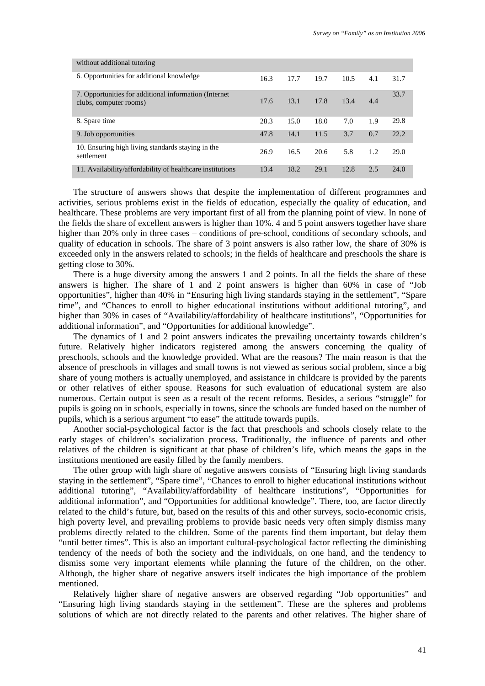| without additional tutoring                                                      |      |      |      |      |     |      |
|----------------------------------------------------------------------------------|------|------|------|------|-----|------|
| 6. Opportunities for additional knowledge                                        | 16.3 | 17.7 | 19.7 | 10.5 | 4.1 | 31.7 |
| 7. Opportunities for additional information (Internet)<br>clubs, computer rooms) | 17.6 | 13.1 | 17.8 | 13.4 | 4.4 | 33.7 |
| 8. Spare time                                                                    | 28.3 | 15.0 | 18.0 | 7.0  | 1.9 | 29.8 |
| 9. Job opportunities                                                             | 47.8 | 14.1 | 11.5 | 3.7  | 0.7 | 22.2 |
| 10. Ensuring high living standards staying in the<br>settlement                  | 26.9 | 16.5 | 20.6 | 5.8  | 1.2 | 29.0 |
| 11. Availability/affordability of healthcare institutions                        | 13.4 | 18.2 | 29.1 | 12.8 | 2.5 | 24.0 |

The structure of answers shows that despite the implementation of different programmes and activities, serious problems exist in the fields of education, especially the quality of education, and healthcare. These problems are very important first of all from the planning point of view. In none of the fields the share of excellent answers is higher than 10%. 4 and 5 point answers together have share higher than 20% only in three cases – conditions of pre-school, conditions of secondary schools, and quality of education in schools. The share of 3 point answers is also rather low, the share of 30% is exceeded only in the answers related to schools; in the fields of healthcare and preschools the share is getting close to 30%.

There is a huge diversity among the answers 1 and 2 points. In all the fields the share of these answers is higher. The share of 1 and 2 point answers is higher than 60% in case of "Job opportunities", higher than 40% in "Ensuring high living standards staying in the settlement", "Spare time", and "Chances to enroll to higher educational institutions without additional tutoring", and higher than 30% in cases of "Availability/affordability of healthcare institutions", "Opportunities for additional information", and "Opportunities for additional knowledge".

The dynamics of 1 and 2 point answers indicates the prevailing uncertainty towards children's future. Relatively higher indicators registered among the answers concerning the quality of preschools, schools and the knowledge provided. What are the reasons? The main reason is that the absence of preschools in villages and small towns is not viewed as serious social problem, since a big share of young mothers is actually unemployed, and assistance in childcare is provided by the parents or other relatives of either spouse. Reasons for such evaluation of educational system are also numerous. Certain output is seen as a result of the recent reforms. Besides, a serious "struggle" for pupils is going on in schools, especially in towns, since the schools are funded based on the number of pupils, which is a serious argument "to ease" the attitude towards pupils.

Another social-psychological factor is the fact that preschools and schools closely relate to the early stages of children's socialization process. Traditionally, the influence of parents and other relatives of the children is significant at that phase of children's life, which means the gaps in the institutions mentioned are easily filled by the family members.

The other group with high share of negative answers consists of "Ensuring high living standards staying in the settlement", "Spare time", "Chances to enroll to higher educational institutions without additional tutoring", "Availability/affordability of healthcare institutions", "Opportunities for additional information", and "Opportunities for additional knowledge". There, too, are factor directly related to the child's future, but, based on the results of this and other surveys, socio-economic crisis, high poverty level, and prevailing problems to provide basic needs very often simply dismiss many problems directly related to the children. Some of the parents find them important, but delay them "until better times". This is also an important cultural-psychological factor reflecting the diminishing tendency of the needs of both the society and the individuals, on one hand, and the tendency to dismiss some very important elements while planning the future of the children, on the other. Although, the higher share of negative answers itself indicates the high importance of the problem mentioned.

Relatively higher share of negative answers are observed regarding "Job opportunities" and "Ensuring high living standards staying in the settlement". These are the spheres and problems solutions of which are not directly related to the parents and other relatives. The higher share of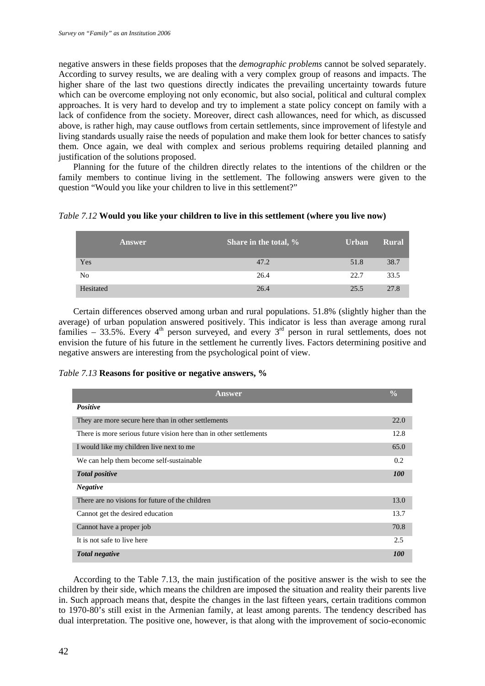negative answers in these fields proposes that the *demographic problems* cannot be solved separately. According to survey results, we are dealing with a very complex group of reasons and impacts. The higher share of the last two questions directly indicates the prevailing uncertainty towards future which can be overcome employing not only economic, but also social, political and cultural complex approaches. It is very hard to develop and try to implement a state policy concept on family with a lack of confidence from the society. Moreover, direct cash allowances, need for which, as discussed above, is rather high, may cause outflows from certain settlements, since improvement of lifestyle and living standards usually raise the needs of population and make them look for better chances to satisfy them. Once again, we deal with complex and serious problems requiring detailed planning and justification of the solutions proposed.

Planning for the future of the children directly relates to the intentions of the children or the family members to continue living in the settlement. The following answers were given to the question "Would you like your children to live in this settlement?"

|  |  |  |  |  | Table 7.12 Would you like your children to live in this settlement (where you live now) |
|--|--|--|--|--|-----------------------------------------------------------------------------------------|
|  |  |  |  |  |                                                                                         |

|           | Answer | Share in the total, % | <b>Urban</b> | <b>Rural</b> |
|-----------|--------|-----------------------|--------------|--------------|
| Yes       |        | 47.2                  | 51.8         | 38.7         |
| No        |        | 26.4                  | 22.7         | 33.5         |
| Hesitated |        | 26.4                  | 25.5         | 27.8         |

Certain differences observed among urban and rural populations. 51.8% (slightly higher than the average) of urban population answered positively. This indicator is less than average among rural families – 33.5%. Every  $4<sup>th</sup>$  person surveyed, and every  $3<sup>rd</sup>$  person in rural settlements, does not envision the future of his future in the settlement he currently lives. Factors determining positive and negative answers are interesting from the psychological point of view.

| Table 7.13 Reasons for positive or negative answers, % |  |  |  |  |  |
|--------------------------------------------------------|--|--|--|--|--|
|--------------------------------------------------------|--|--|--|--|--|

| <b>Answer</b>                                                      | $\frac{0}{0}$     |
|--------------------------------------------------------------------|-------------------|
| <b>Positive</b>                                                    |                   |
| They are more secure here than in other settlements                | 22.0              |
| There is more serious future vision here than in other settlements | 12.8              |
| I would like my children live next to me                           | 65.0              |
| We can help them become self-sustainable                           | 0.2               |
| <b>Total positive</b>                                              | <i>100</i>        |
| <b>Negative</b>                                                    |                   |
| There are no visions for future of the children                    | 13.0              |
| Cannot get the desired education                                   | 13.7              |
| Cannot have a proper job                                           | 70.8              |
| It is not safe to live here                                        | 2.5               |
| <b>Total negative</b>                                              | <i><b>100</b></i> |

According to the Table 7.13, the main justification of the positive answer is the wish to see the children by their side, which means the children are imposed the situation and reality their parents live in. Such approach means that, despite the changes in the last fifteen years, certain traditions common to 1970-80's still exist in the Armenian family, at least among parents. The tendency described has dual interpretation. The positive one, however, is that along with the improvement of socio-economic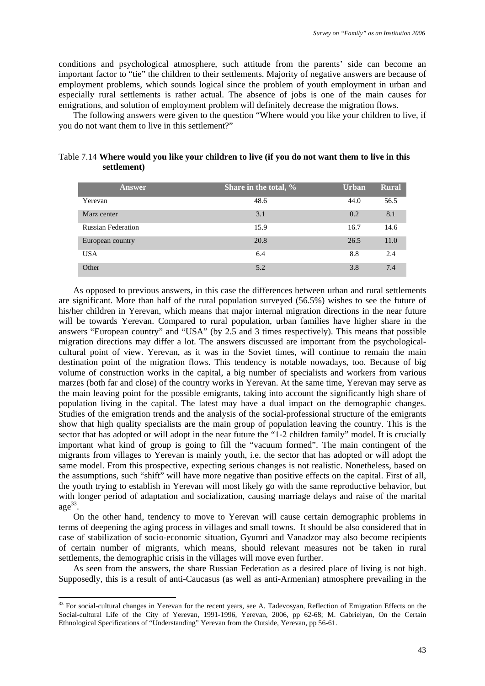conditions and psychological atmosphere, such attitude from the parents' side can become an important factor to "tie" the children to their settlements. Majority of negative answers are because of employment problems, which sounds logical since the problem of youth employment in urban and especially rural settlements is rather actual. The absence of jobs is one of the main causes for emigrations, and solution of employment problem will definitely decrease the migration flows.

The following answers were given to the question "Where would you like your children to live, if you do not want them to live in this settlement?"

| Answer                    | Share in the total, % | <b>Urban</b> | <b>Rural</b> |
|---------------------------|-----------------------|--------------|--------------|
| Yerevan                   | 48.6                  | 44.0         | 56.5         |
| Marz center               | 3.1                   | 0.2          | 8.1          |
| <b>Russian Federation</b> | 15.9                  | 16.7         | 14.6         |
| European country          | 20.8                  | 26.5         | 11.0         |
| <b>USA</b>                | 6.4                   | 8.8          | 2.4          |
| Other                     | 5.2                   | 3.8          | 7.4          |

| Table 7.14 Where would you like your children to live (if you do not want them to live in this |  |  |
|------------------------------------------------------------------------------------------------|--|--|
| settlement)                                                                                    |  |  |

As opposed to previous answers, in this case the differences between urban and rural settlements are significant. More than half of the rural population surveyed (56.5%) wishes to see the future of his/her children in Yerevan, which means that major internal migration directions in the near future will be towards Yerevan. Compared to rural population, urban families have higher share in the answers "European country" and "USA" (by 2.5 and 3 times respectively). This means that possible migration directions may differ a lot. The answers discussed are important from the psychologicalcultural point of view. Yerevan, as it was in the Soviet times, will continue to remain the main destination point of the migration flows. This tendency is notable nowadays, too. Because of big volume of construction works in the capital, a big number of specialists and workers from various marzes (both far and close) of the country works in Yerevan. At the same time, Yerevan may serve as the main leaving point for the possible emigrants, taking into account the significantly high share of population living in the capital. The latest may have a dual impact on the demographic changes. Studies of the emigration trends and the analysis of the social-professional structure of the emigrants show that high quality specialists are the main group of population leaving the country. This is the sector that has adopted or will adopt in the near future the "1-2 children family" model. It is crucially important what kind of group is going to fill the "vacuum formed". The main contingent of the migrants from villages to Yerevan is mainly youth, i.e. the sector that has adopted or will adopt the same model. From this prospective, expecting serious changes is not realistic. Nonetheless, based on the assumptions, such "shift" will have more negative than positive effects on the capital. First of all, the youth trying to establish in Yerevan will most likely go with the same reproductive behavior, but with longer period of adaptation and socialization, causing marriage delays and raise of the marital  $\text{age}^{33}$ .

On the other hand, tendency to move to Yerevan will cause certain demographic problems in terms of deepening the aging process in villages and small towns. It should be also considered that in case of stabilization of socio-economic situation, Gyumri and Vanadzor may also become recipients of certain number of migrants, which means, should relevant measures not be taken in rural settlements, the demographic crisis in the villages will move even further.

As seen from the answers, the share Russian Federation as a desired place of living is not high. Supposedly, this is a result of anti-Caucasus (as well as anti-Armenian) atmosphere prevailing in the

<u>.</u>

<sup>&</sup>lt;sup>33</sup> For social-cultural changes in Yerevan for the recent years, see A. Tadevosyan, Reflection of Emigration Effects on the Social-cultural Life of the City of Yerevan, 1991-1996, Yerevan, 2006, pp 62-68; M. Gabrielyan, On the Certain Ethnological Specifications of "Understanding" Yerevan from the Outside, Yerevan, pp 56-61.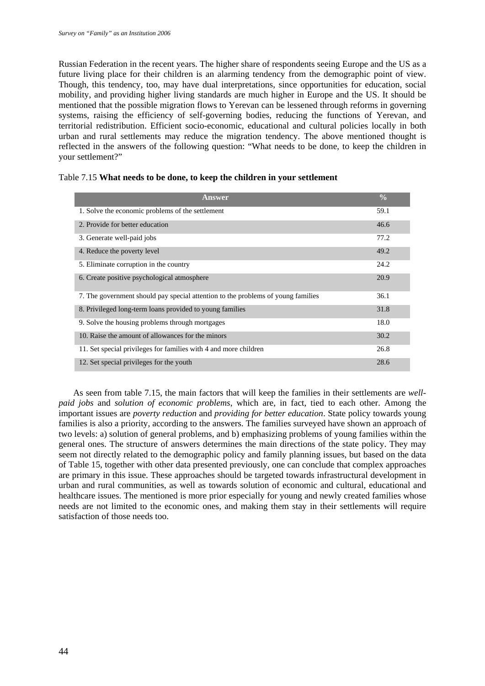Russian Federation in the recent years. The higher share of respondents seeing Europe and the US as a future living place for their children is an alarming tendency from the demographic point of view. Though, this tendency, too, may have dual interpretations, since opportunities for education, social mobility, and providing higher living standards are much higher in Europe and the US. It should be mentioned that the possible migration flows to Yerevan can be lessened through reforms in governing systems, raising the efficiency of self-governing bodies, reducing the functions of Yerevan, and territorial redistribution. Efficient socio-economic, educational and cultural policies locally in both urban and rural settlements may reduce the migration tendency. The above mentioned thought is reflected in the answers of the following question: "What needs to be done, to keep the children in your settlement?"

| Answer                                                                           | $\frac{0}{0}$ |
|----------------------------------------------------------------------------------|---------------|
| 1. Solve the economic problems of the settlement                                 | 59.1          |
| 2. Provide for better education                                                  | 46.6          |
| 3. Generate well-paid jobs                                                       | 77.2          |
| 4. Reduce the poverty level                                                      | 49.2          |
| 5. Eliminate corruption in the country                                           | 24.2          |
| 6. Create positive psychological atmosphere                                      | 20.9          |
| 7. The government should pay special attention to the problems of young families | 36.1          |
| 8. Privileged long-term loans provided to young families                         | 31.8          |
| 9. Solve the housing problems through mortgages                                  | 18.0          |
| 10. Raise the amount of allowances for the minors                                | 30.2          |
| 11. Set special privileges for families with 4 and more children                 | 26.8          |
| 12. Set special privileges for the youth                                         | 28.6          |

|  |  |  |  | Table 7.15 What needs to be done, to keep the children in your settlement |  |
|--|--|--|--|---------------------------------------------------------------------------|--|
|--|--|--|--|---------------------------------------------------------------------------|--|

As seen from table 7.15, the main factors that will keep the families in their settlements are *wellpaid jobs* and *solution of economic problems*, which are, in fact, tied to each other. Among the important issues are *poverty reduction* and *providing for better education*. State policy towards young families is also a priority, according to the answers. The families surveyed have shown an approach of two levels: a) solution of general problems, and b) emphasizing problems of young families within the general ones. The structure of answers determines the main directions of the state policy. They may seem not directly related to the demographic policy and family planning issues, but based on the data of Table 15, together with other data presented previously, one can conclude that complex approaches are primary in this issue. These approaches should be targeted towards infrastructural development in urban and rural communities, as well as towards solution of economic and cultural, educational and healthcare issues. The mentioned is more prior especially for young and newly created families whose needs are not limited to the economic ones, and making them stay in their settlements will require satisfaction of those needs too.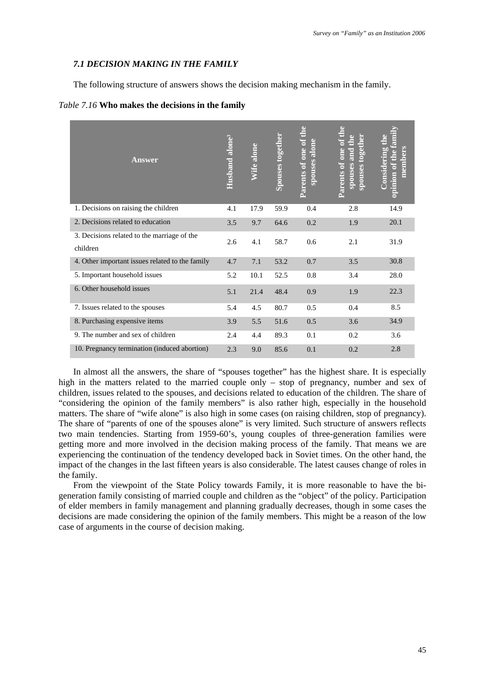#### *7.1 DECISION MAKING IN THE FAMILY*

The following structure of answers shows the decision making mechanism in the family.

#### *Table 7.16* **Who makes the decisions in the family**

| <b>Answer</b>                                           | Husband alone <sup>3</sup> | Wife alone | Spouses together | Parents of one of the<br>spouses alone | Parents of one of the<br>spouses together<br>spouses and the | opinion of the famil<br>Considering the<br>members |
|---------------------------------------------------------|----------------------------|------------|------------------|----------------------------------------|--------------------------------------------------------------|----------------------------------------------------|
| 1. Decisions on raising the children                    | 4.1                        | 17.9       | 59.9             | 0.4                                    | 2.8                                                          | 14.9                                               |
| 2. Decisions related to education                       | 3.5                        | 9.7        | 64.6             | 0.2                                    | 1.9                                                          | 20.1                                               |
| 3. Decisions related to the marriage of the<br>children | 2.6                        | 4.1        | 58.7             | 0.6                                    | 2.1                                                          | 31.9                                               |
| 4. Other important issues related to the family         | 4.7                        | 7.1        | 53.2             | 0.7                                    | 3.5                                                          | 30.8                                               |
| 5. Important household issues                           | 5.2                        | 10.1       | 52.5             | 0.8                                    | 3.4                                                          | 28.0                                               |
| 6. Other household issues                               | 5.1                        | 21.4       | 48.4             | 0.9                                    | 1.9                                                          | 22.3                                               |
| 7. Issues related to the spouses                        | 5.4                        | 4.5        | 80.7             | 0.5                                    | 0.4                                                          | 8.5                                                |
| 8. Purchasing expensive items                           | 3.9                        | 5.5        | 51.6             | 0.5                                    | 3.6                                                          | 34.9                                               |
| 9. The number and sex of children                       | 2.4                        | 4.4        | 89.3             | 0.1                                    | 0.2                                                          | 3.6                                                |
| 10. Pregnancy termination (induced abortion)            | 2.3                        | 9.0        | 85.6             | 0.1                                    | 0.2                                                          | 2.8                                                |

In almost all the answers, the share of "spouses together" has the highest share. It is especially high in the matters related to the married couple only – stop of pregnancy, number and sex of children, issues related to the spouses, and decisions related to education of the children. The share of "considering the opinion of the family members" is also rather high, especially in the household matters. The share of "wife alone" is also high in some cases (on raising children, stop of pregnancy). The share of "parents of one of the spouses alone" is very limited. Such structure of answers reflects two main tendencies. Starting from 1959-60's, young couples of three-generation families were getting more and more involved in the decision making process of the family. That means we are experiencing the continuation of the tendency developed back in Soviet times. On the other hand, the impact of the changes in the last fifteen years is also considerable. The latest causes change of roles in the family.

From the viewpoint of the State Policy towards Family, it is more reasonable to have the bigeneration family consisting of married couple and children as the "object" of the policy. Participation of elder members in family management and planning gradually decreases, though in some cases the decisions are made considering the opinion of the family members. This might be a reason of the low case of arguments in the course of decision making.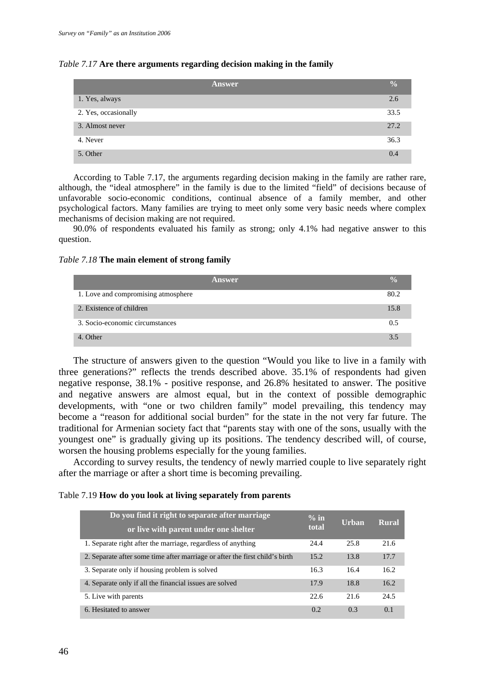|  | Table 7.17 Are there arguments regarding decision making in the family |  |  |
|--|------------------------------------------------------------------------|--|--|
|  |                                                                        |  |  |

|                      | <b>Answer</b> | $\frac{0}{0}$ |
|----------------------|---------------|---------------|
| 1. Yes, always       |               | 2.6           |
| 2. Yes, occasionally |               | 33.5          |
| 3. Almost never      |               | 27.2          |
| 4. Never             |               | 36.3          |
| 5. Other             | 0.4           |               |

According to Table 7.17, the arguments regarding decision making in the family are rather rare, although, the "ideal atmosphere" in the family is due to the limited "field" of decisions because of unfavorable socio-economic conditions, continual absence of a family member, and other psychological factors. Many families are trying to meet only some very basic needs where complex mechanisms of decision making are not required.

90.0% of respondents evaluated his family as strong; only 4.1% had negative answer to this question.

*Table 7.18* **The main element of strong family** 

| Answer                              | $\frac{0}{2}$ |
|-------------------------------------|---------------|
| 1. Love and compromising atmosphere | 80.2          |
| 2. Existence of children            | 15.8          |
| 3. Socio-economic circumstances     | 0.5           |
| 4. Other                            | $\mathbf{3}$  |

The structure of answers given to the question "Would you like to live in a family with three generations?" reflects the trends described above. 35.1% of respondents had given negative response, 38.1% - positive response, and 26.8% hesitated to answer. The positive and negative answers are almost equal, but in the context of possible demographic developments, with "one or two children family" model prevailing, this tendency may become a "reason for additional social burden" for the state in the not very far future. The traditional for Armenian society fact that "parents stay with one of the sons, usually with the youngest one" is gradually giving up its positions. The tendency described will, of course, worsen the housing problems especially for the young families.

According to survey results, the tendency of newly married couple to live separately right after the marriage or after a short time is becoming prevailing.

Table 7.19 **How do you look at living separately from parents** 

| Do you find it right to separate after marriage<br>or live with parent under one shelter | $\%$ in<br>total | <b>Urban</b> | Rural |
|------------------------------------------------------------------------------------------|------------------|--------------|-------|
| 1. Separate right after the marriage, regardless of anything                             | 24.4             | 25.8         | 21.6  |
| 2. Separate after some time after marriage or after the first child's birth              | 15.2             | 13.8         | 17.7  |
| 3. Separate only if housing problem is solved                                            | 16.3             | 16.4         | 16.2  |
| 4. Separate only if all the financial issues are solved                                  | 17.9             | 18.8         | 16.2  |
| 5. Live with parents                                                                     | 22.6             | 21.6         | 24.5  |
| 6. Hesitated to answer                                                                   | 0.2              | 0.3          | 0.1   |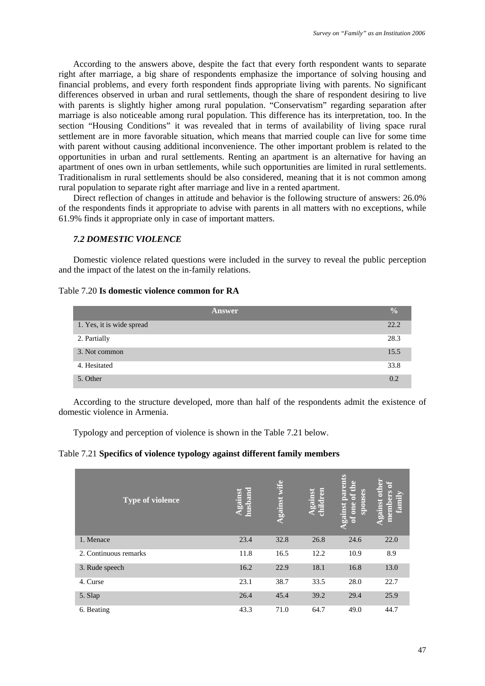According to the answers above, despite the fact that every forth respondent wants to separate right after marriage, a big share of respondents emphasize the importance of solving housing and financial problems, and every forth respondent finds appropriate living with parents. No significant differences observed in urban and rural settlements, though the share of respondent desiring to live with parents is slightly higher among rural population. "Conservatism" regarding separation after marriage is also noticeable among rural population. This difference has its interpretation, too. In the section "Housing Conditions" it was revealed that in terms of availability of living space rural settlement are in more favorable situation, which means that married couple can live for some time with parent without causing additional inconvenience. The other important problem is related to the opportunities in urban and rural settlements. Renting an apartment is an alternative for having an apartment of ones own in urban settlements, while such opportunities are limited in rural settlements. Traditionalism in rural settlements should be also considered, meaning that it is not common among rural population to separate right after marriage and live in a rented apartment.

Direct reflection of changes in attitude and behavior is the following structure of answers: 26.0% of the respondents finds it appropriate to advise with parents in all matters with no exceptions, while 61.9% finds it appropriate only in case of important matters.

# *7.2 DOMESTIC VIOLENCE*

Domestic violence related questions were included in the survey to reveal the public perception and the impact of the latest on the in-family relations.

### Table 7.20 **Is domestic violence common for RA**

|                           | $\frac{0}{0}$<br>Answer |
|---------------------------|-------------------------|
| 1. Yes, it is wide spread | 22.2                    |
| 2. Partially              | 28.3                    |
| 3. Not common             | 15.5                    |
| 4. Hesitated              | 33.8                    |
| 5. Other                  | 0.2                     |

According to the structure developed, more than half of the respondents admit the existence of domestic violence in Armenia.

Typology and perception of violence is shown in the Table 7.21 below.

# Table 7.21 **Specifics of violence typology against different family members**

| <b>Type of violence</b> | r=<br>husban<br>surea | wife<br>Against | Against<br>children | parents<br>Đ<br>E<br>spouses<br>Ğ.<br>gainst<br>one<br>a | 'nт<br>famil<br>gainst<br>E |
|-------------------------|-----------------------|-----------------|---------------------|----------------------------------------------------------|-----------------------------|
| 1. Menace               | 23.4                  | 32.8            | 26.8                | 24.6                                                     | 22.0                        |
| 2. Continuous remarks   | 11.8                  | 16.5            | 12.2                | 10.9                                                     | 8.9                         |
| 3. Rude speech          | 16.2                  | 22.9            | 18.1                | 16.8                                                     | 13.0                        |
| 4. Curse                | 23.1                  | 38.7            | 33.5                | 28.0                                                     | 22.7                        |
| 5. Slap                 | 26.4                  | 45.4            | 39.2                | 29.4                                                     | 25.9                        |
| 6. Beating              | 43.3                  | 71.0            | 64.7                | 49.0                                                     | 44.7                        |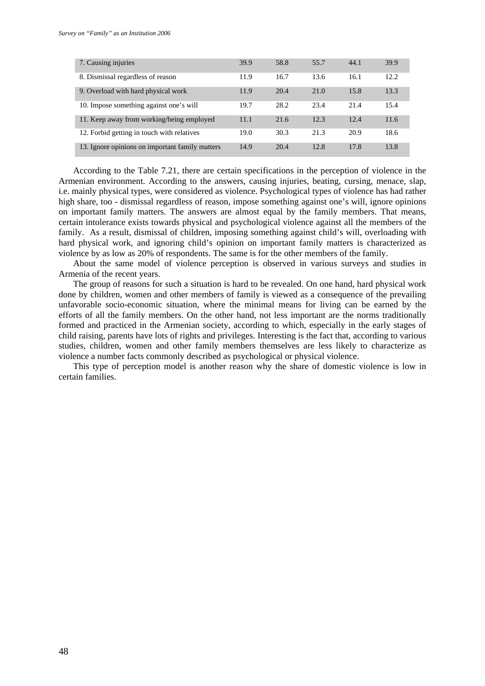| 7. Causing injuries                             | 39.9 | 58.8 | 55.7 | 44.1 | 39.9 |
|-------------------------------------------------|------|------|------|------|------|
| 8. Dismissal regardless of reason               | 11.9 | 16.7 | 13.6 | 16.1 | 12.2 |
| 9. Overload with hard physical work             | 11.9 | 20.4 | 21.0 | 15.8 | 13.3 |
| 10. Impose something against one's will         | 19.7 | 28.2 | 23.4 | 21.4 | 15.4 |
| 11. Keep away from working/being employed       | 11.1 | 21.6 | 12.3 | 12.4 | 11.6 |
| 12. Forbid getting in touch with relatives      | 19.0 | 30.3 | 21.3 | 20.9 | 18.6 |
| 13. Ignore opinions on important family matters | 14.9 | 20.4 | 12.8 | 17.8 | 13.8 |

According to the Table 7.21, there are certain specifications in the perception of violence in the Armenian environment. According to the answers, causing injuries, beating, cursing, menace, slap, i.e. mainly physical types, were considered as violence. Psychological types of violence has had rather high share, too - dismissal regardless of reason, impose something against one's will, ignore opinions on important family matters. The answers are almost equal by the family members. That means, certain intolerance exists towards physical and psychological violence against all the members of the family. As a result, dismissal of children, imposing something against child's will, overloading with hard physical work, and ignoring child's opinion on important family matters is characterized as violence by as low as 20% of respondents. The same is for the other members of the family.

About the same model of violence perception is observed in various surveys and studies in Armenia of the recent years.

The group of reasons for such a situation is hard to be revealed. On one hand, hard physical work done by children, women and other members of family is viewed as a consequence of the prevailing unfavorable socio-economic situation, where the minimal means for living can be earned by the efforts of all the family members. On the other hand, not less important are the norms traditionally formed and practiced in the Armenian society, according to which, especially in the early stages of child raising, parents have lots of rights and privileges. Interesting is the fact that, according to various studies, children, women and other family members themselves are less likely to characterize as violence a number facts commonly described as psychological or physical violence.

This type of perception model is another reason why the share of domestic violence is low in certain families.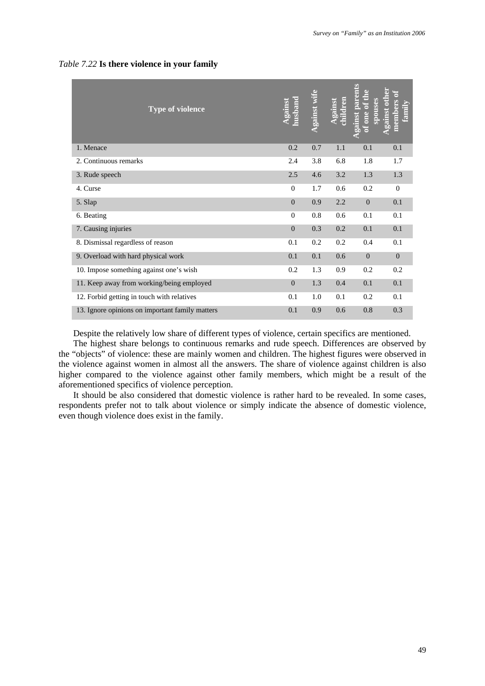| <b>Type of violence</b>                         | <b>Against</b><br>husband | gainst wife | dren<br>gains | gainst parents<br>of one of the<br><b>spouses</b> | <b>Against other</b><br>members of<br>family |
|-------------------------------------------------|---------------------------|-------------|---------------|---------------------------------------------------|----------------------------------------------|
| 1. Menace                                       | 0.2                       | 0.7         | 1.1           | 0.1                                               | 0.1                                          |
| 2. Continuous remarks                           | 2.4                       | 3.8         | 6.8           | 1.8                                               | 1.7                                          |
| 3. Rude speech                                  | 2.5                       | 4.6         | 3.2           | 1.3                                               | 1.3                                          |
| 4. Curse                                        | $\overline{0}$            | 1.7         | 0.6           | 0.2                                               | $\mathbf{0}$                                 |
| 5. Slap                                         | $\Omega$                  | 0.9         | 2.2           | $\mathbf{0}$                                      | 0.1                                          |
| 6. Beating                                      | $\Omega$                  | 0.8         | 0.6           | 0.1                                               | 0.1                                          |
| 7. Causing injuries                             | $\overline{0}$            | 0.3         | 0.2           | 0.1                                               | 0.1                                          |
| 8. Dismissal regardless of reason               | 0.1                       | 0.2         | 0.2           | 0.4                                               | 0.1                                          |
| 9. Overload with hard physical work             | 0.1                       | 0.1         | 0.6           | $\mathbf{0}$                                      | $\theta$                                     |
| 10. Impose something against one's wish         | 0.2                       | 1.3         | 0.9           | 0.2                                               | 0.2                                          |
| 11. Keep away from working/being employed       | $\theta$                  | 1.3         | 0.4           | 0.1                                               | 0.1                                          |
| 12. Forbid getting in touch with relatives      | 0.1                       | 1.0         | 0.1           | 0.2                                               | 0.1                                          |
| 13. Ignore opinions on important family matters | 0.1                       | 0.9         | 0.6           | 0.8                                               | 0.3                                          |

#### *Table 7.22* **Is there violence in your family**

Despite the relatively low share of different types of violence, certain specifics are mentioned.

The highest share belongs to continuous remarks and rude speech. Differences are observed by the "objects" of violence: these are mainly women and children. The highest figures were observed in the violence against women in almost all the answers. The share of violence against children is also higher compared to the violence against other family members, which might be a result of the aforementioned specifics of violence perception.

It should be also considered that domestic violence is rather hard to be revealed. In some cases, respondents prefer not to talk about violence or simply indicate the absence of domestic violence, even though violence does exist in the family.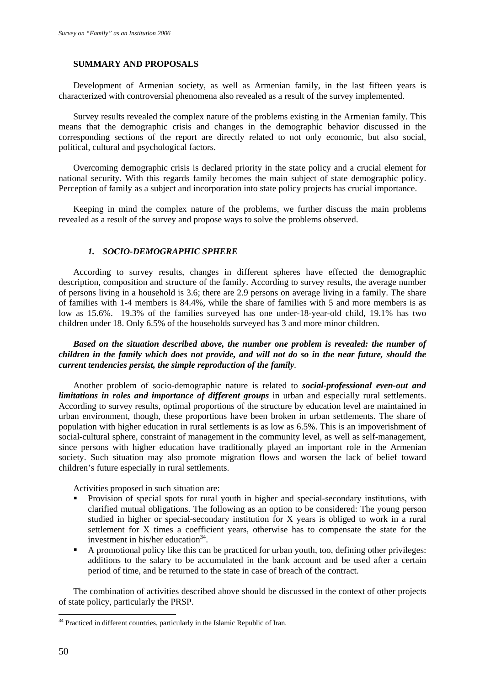#### **SUMMARY AND PROPOSALS**

Development of Armenian society, as well as Armenian family, in the last fifteen years is characterized with controversial phenomena also revealed as a result of the survey implemented.

Survey results revealed the complex nature of the problems existing in the Armenian family. This means that the demographic crisis and changes in the demographic behavior discussed in the corresponding sections of the report are directly related to not only economic, but also social, political, cultural and psychological factors.

Overcoming demographic crisis is declared priority in the state policy and a crucial element for national security. With this regards family becomes the main subject of state demographic policy. Perception of family as a subject and incorporation into state policy projects has crucial importance.

Keeping in mind the complex nature of the problems, we further discuss the main problems revealed as a result of the survey and propose ways to solve the problems observed.

# *1. SOCIO-DEMOGRAPHIC SPHERE*

According to survey results, changes in different spheres have effected the demographic description, composition and structure of the family. According to survey results, the average number of persons living in a household is 3.6; there are 2.9 persons on average living in a family. The share of families with 1-4 members is 84.4%, while the share of families with 5 and more members is as low as 15.6%. 19.3% of the families surveyed has one under-18-year-old child, 19.1% has two children under 18. Only 6.5% of the households surveyed has 3 and more minor children.

*Based on the situation described above, the number one problem is revealed: the number of children in the family which does not provide, and will not do so in the near future, should the current tendencies persist, the simple reproduction of the family.* 

Another problem of socio-demographic nature is related to *social-professional even-out and limitations in roles and importance of different groups* in urban and especially rural settlements. According to survey results, optimal proportions of the structure by education level are maintained in urban environment, though, these proportions have been broken in urban settlements. The share of population with higher education in rural settlements is as low as 6.5%. This is an impoverishment of social-cultural sphere, constraint of management in the community level, as well as self-management, since persons with higher education have traditionally played an important role in the Armenian society. Such situation may also promote migration flows and worsen the lack of belief toward children's future especially in rural settlements.

Activities proposed in such situation are:

- Provision of special spots for rural youth in higher and special-secondary institutions, with clarified mutual obligations. The following as an option to be considered: The young person studied in higher or special-secondary institution for X years is obliged to work in a rural settlement for X times a coefficient years, otherwise has to compensate the state for the investment in his/her education $34$ .
- A promotional policy like this can be practiced for urban youth, too, defining other privileges: additions to the salary to be accumulated in the bank account and be used after a certain period of time, and be returned to the state in case of breach of the contract.

The combination of activities described above should be discussed in the context of other projects of state policy, particularly the PRSP.

<u>.</u>

 $34$  Practiced in different countries, particularly in the Islamic Republic of Iran.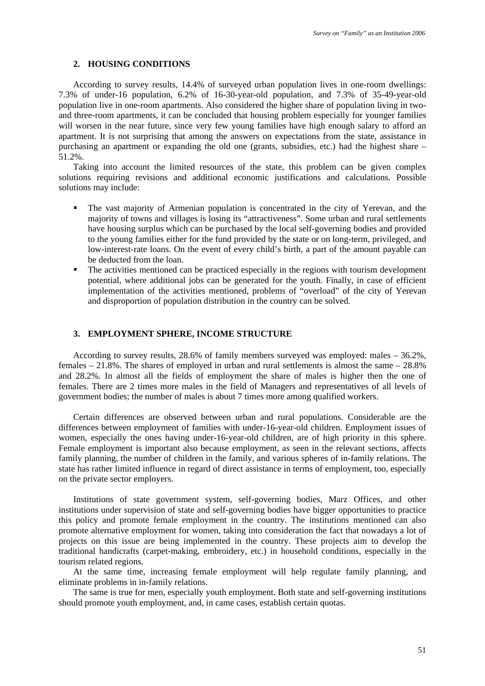#### **2. HOUSING CONDITIONS**

According to survey results, 14.4% of surveyed urban population lives in one-room dwellings: 7.3% of under-16 population, 6.2% of 16-30-year-old population, and 7.3% of 35-49-year-old population live in one-room apartments. Also considered the higher share of population living in twoand three-room apartments, it can be concluded that housing problem especially for younger families will worsen in the near future, since very few young families have high enough salary to afford an apartment. It is not surprising that among the answers on expectations from the state, assistance in purchasing an apartment or expanding the old one (grants, subsidies, etc.) had the highest share – 51.2%.

Taking into account the limited resources of the state, this problem can be given complex solutions requiring revisions and additional economic justifications and calculations. Possible solutions may include:

- The vast majority of Armenian population is concentrated in the city of Yerevan, and the majority of towns and villages is losing its "attractiveness". Some urban and rural settlements have housing surplus which can be purchased by the local self-governing bodies and provided to the young families either for the fund provided by the state or on long-term, privileged, and low-interest-rate loans. On the event of every child's birth, a part of the amount payable can be deducted from the loan.
- The activities mentioned can be practiced especially in the regions with tourism development potential, where additional jobs can be generated for the youth. Finally, in case of efficient implementation of the activities mentioned, problems of "overload" of the city of Yerevan and disproportion of population distribution in the country can be solved.

# **3. EMPLOYMENT SPHERE, INCOME STRUCTURE**

According to survey results, 28.6% of family members surveyed was employed: males – 36.2%, females  $-21.8\%$ . The shares of employed in urban and rural settlements is almost the same  $-28.8\%$ and 28.2%. In almost all the fields of employment the share of males is higher then the one of females. There are 2 times more males in the field of Managers and representatives of all levels of government bodies; the number of males is about 7 times more among qualified workers.

Certain differences are observed between urban and rural populations. Considerable are the differences between employment of families with under-16-year-old children. Employment issues of women, especially the ones having under-16-year-old children, are of high priority in this sphere. Female employment is important also because employment, as seen in the relevant sections, affects family planning, the number of children in the family, and various spheres of in-family relations. The state has rather limited influence in regard of direct assistance in terms of employment, too, especially on the private sector employers.

Institutions of state government system, self-governing bodies, Marz Offices, and other institutions under supervision of state and self-governing bodies have bigger opportunities to practice this policy and promote female employment in the country. The institutions mentioned can also promote alternative employment for women, taking into consideration the fact that nowadays a lot of projects on this issue are being implemented in the country. These projects aim to develop the traditional handicrafts (carpet-making, embroidery, etc.) in household conditions, especially in the tourism related regions.

At the same time, increasing female employment will help regulate family planning, and eliminate problems in in-family relations.

The same is true for men, especially youth employment. Both state and self-governing institutions should promote youth employment, and, in came cases, establish certain quotas.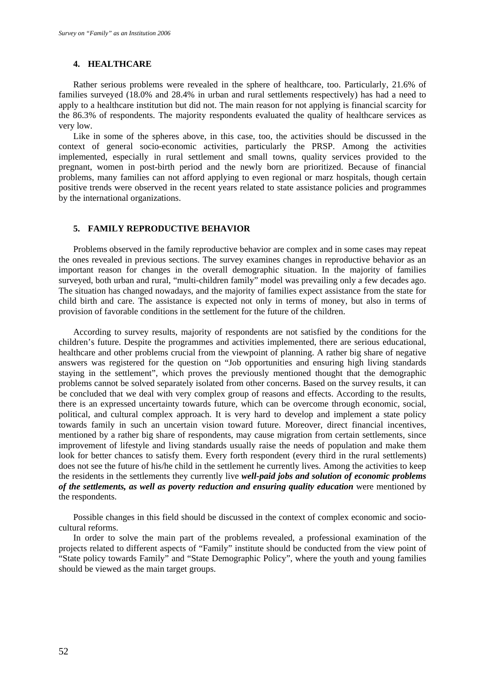#### **4. HEALTHCARE**

Rather serious problems were revealed in the sphere of healthcare, too. Particularly, 21.6% of families surveyed (18.0% and 28.4% in urban and rural settlements respectively) has had a need to apply to a healthcare institution but did not. The main reason for not applying is financial scarcity for the 86.3% of respondents. The majority respondents evaluated the quality of healthcare services as very low.

Like in some of the spheres above, in this case, too, the activities should be discussed in the context of general socio-economic activities, particularly the PRSP. Among the activities implemented, especially in rural settlement and small towns, quality services provided to the pregnant, women in post-birth period and the newly born are prioritized. Because of financial problems, many families can not afford applying to even regional or marz hospitals, though certain positive trends were observed in the recent years related to state assistance policies and programmes by the international organizations.

## **5. FAMILY REPRODUCTIVE BEHAVIOR**

Problems observed in the family reproductive behavior are complex and in some cases may repeat the ones revealed in previous sections. The survey examines changes in reproductive behavior as an important reason for changes in the overall demographic situation. In the majority of families surveyed, both urban and rural, "multi-children family" model was prevailing only a few decades ago. The situation has changed nowadays, and the majority of families expect assistance from the state for child birth and care. The assistance is expected not only in terms of money, but also in terms of provision of favorable conditions in the settlement for the future of the children.

According to survey results, majority of respondents are not satisfied by the conditions for the children's future. Despite the programmes and activities implemented, there are serious educational, healthcare and other problems crucial from the viewpoint of planning. A rather big share of negative answers was registered for the question on "Job opportunities and ensuring high living standards staying in the settlement", which proves the previously mentioned thought that the demographic problems cannot be solved separately isolated from other concerns. Based on the survey results, it can be concluded that we deal with very complex group of reasons and effects. According to the results, there is an expressed uncertainty towards future, which can be overcome through economic, social, political, and cultural complex approach. It is very hard to develop and implement a state policy towards family in such an uncertain vision toward future. Moreover, direct financial incentives, mentioned by a rather big share of respondents, may cause migration from certain settlements, since improvement of lifestyle and living standards usually raise the needs of population and make them look for better chances to satisfy them. Every forth respondent (every third in the rural settlements) does not see the future of his/he child in the settlement he currently lives. Among the activities to keep the residents in the settlements they currently live *well-paid jobs and solution of economic problems of the settlements, as well as poverty reduction and ensuring quality education* were mentioned by the respondents.

Possible changes in this field should be discussed in the context of complex economic and sociocultural reforms.

In order to solve the main part of the problems revealed, a professional examination of the projects related to different aspects of "Family" institute should be conducted from the view point of "State policy towards Family" and "State Demographic Policy", where the youth and young families should be viewed as the main target groups.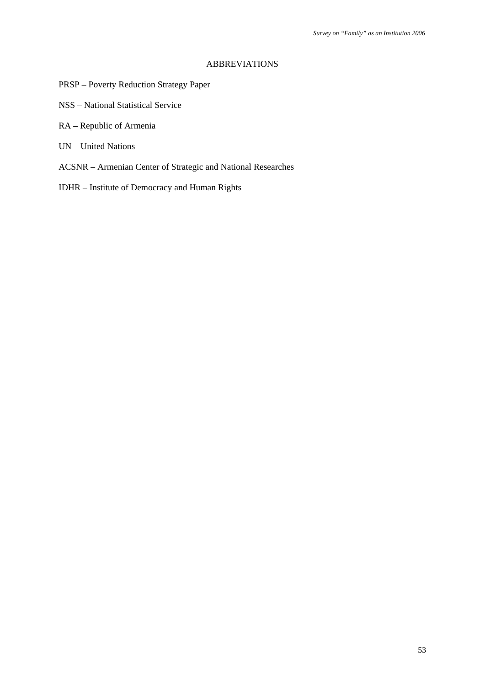#### ABBREVIATIONS

- PRSP Poverty Reduction Strategy Paper
- NSS National Statistical Service
- RA Republic of Armenia
- UN United Nations
- ACSNR Armenian Center of Strategic and National Researches
- IDHR Institute of Democracy and Human Rights